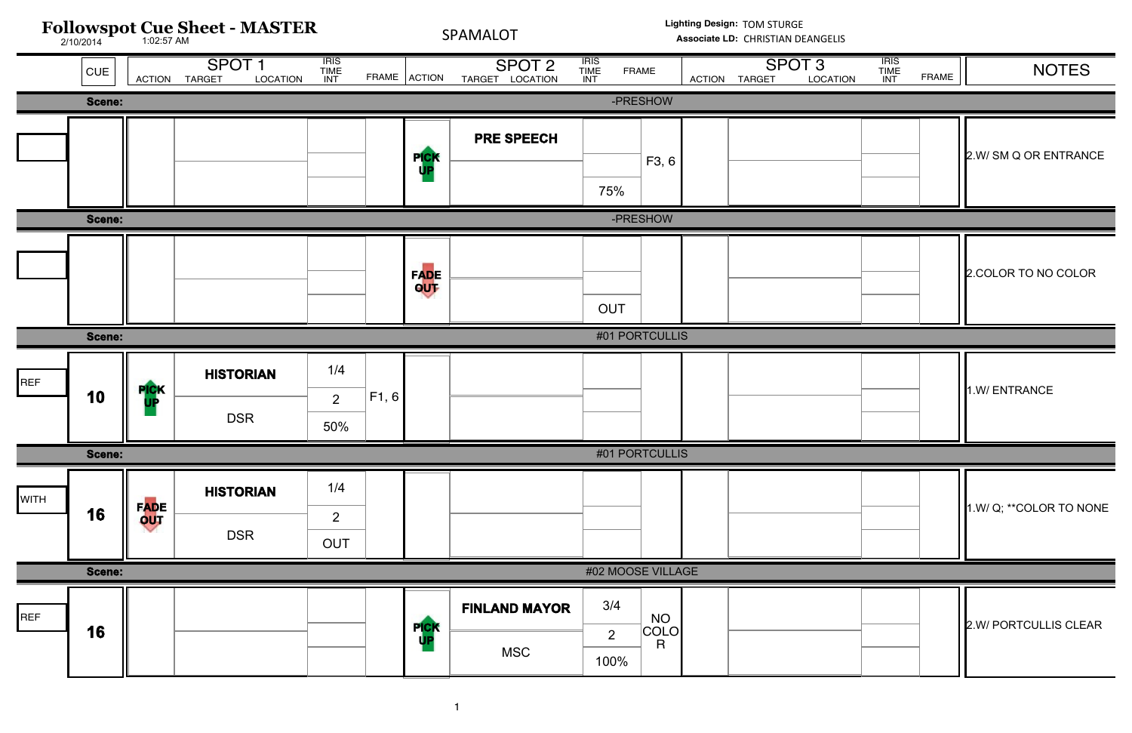| ΛE                              | <b>ACTION</b> | <b>TARGET</b> | <b>SPOT 3</b><br><b>LOCATION</b> | <b>TRIS<br/>TIME<br/>INT</b> | <b>FRAME</b> | <b>NOTES</b>           |
|---------------------------------|---------------|---------------|----------------------------------|------------------------------|--------------|------------------------|
| <b>NOH</b>                      |               |               |                                  |                              |              |                        |
| F3, 6                           |               |               |                                  |                              |              | 2.W/ SM Q OR ENTRANCE  |
| <b>NOH</b>                      |               |               |                                  |                              |              |                        |
|                                 |               |               |                                  |                              |              | 2. COLOR TO NO COLOR   |
| <b>TCULLIS</b>                  |               |               |                                  |                              |              |                        |
|                                 |               |               |                                  |                              |              | 1.W/ENTRANCE           |
| <b>TCULLIS</b>                  |               |               |                                  |                              |              |                        |
|                                 |               |               |                                  |                              |              | 1.W/Q; **COLOR TO NONE |
| <b>VILLAGE</b>                  |               |               |                                  |                              |              |                        |
| <b>NO</b><br>OLO<br>$\mathsf R$ |               |               |                                  |                              |              | 2.W/ PORTCULLIS CLEAR  |

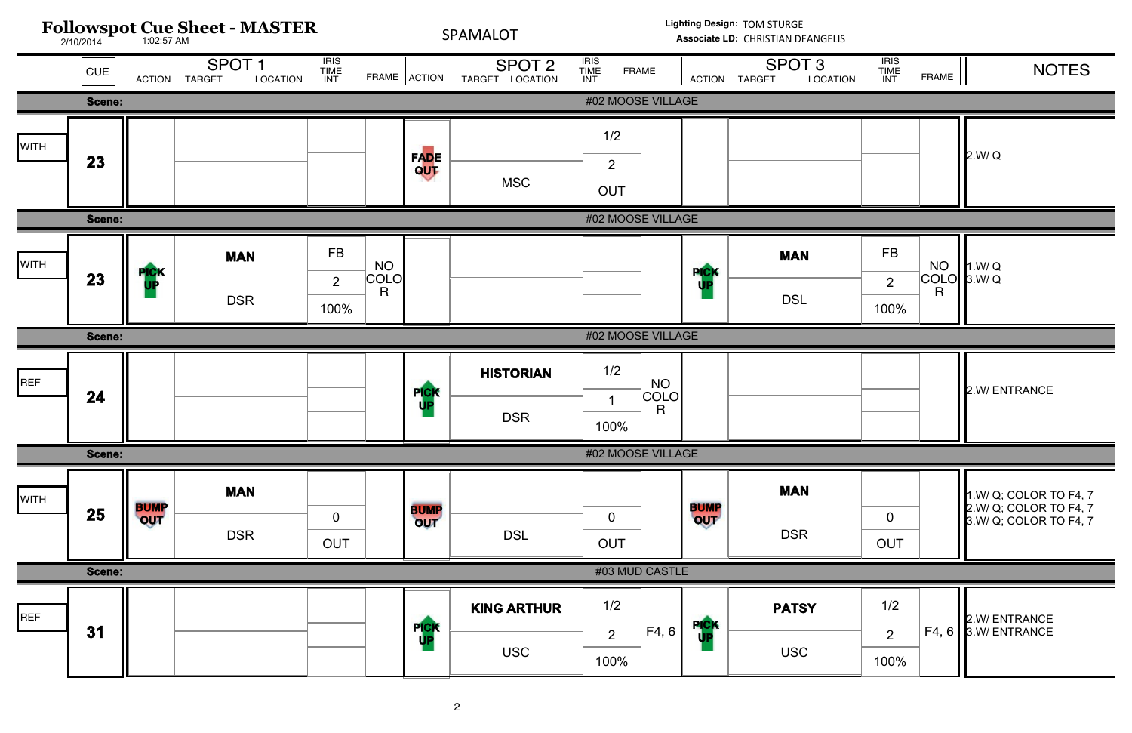

| <b>ATION</b> | <b>IRIS</b><br><b>TIME</b><br><b>INT</b> | <b>FRAME</b>                                 | <b>NOTES</b>                                                               |
|--------------|------------------------------------------|----------------------------------------------|----------------------------------------------------------------------------|
|              |                                          |                                              |                                                                            |
|              |                                          |                                              | 2.W/Q                                                                      |
|              |                                          |                                              |                                                                            |
|              | <b>FB</b><br>2<br>100%                   | <b>NO</b><br>COLO<br>$\overline{\mathsf{R}}$ | 1.W/Q<br>3.W/Q                                                             |
|              |                                          |                                              |                                                                            |
|              |                                          |                                              | 2.W/ ENTRANCE                                                              |
|              |                                          |                                              |                                                                            |
|              | $\mathbf 0$<br><b>OUT</b>                |                                              | 1.W/ Q; COLOR TO F4, 7<br>2.W/ Q; COLOR TO F4, 7<br>3.W/ Q; COLOR TO F4, 7 |
|              |                                          |                                              |                                                                            |
|              | 1/2<br>$\overline{2}$<br>100%            | F4, 6                                        | 2.W/ ENTRANCE<br>3.W/ ENTRANCE                                             |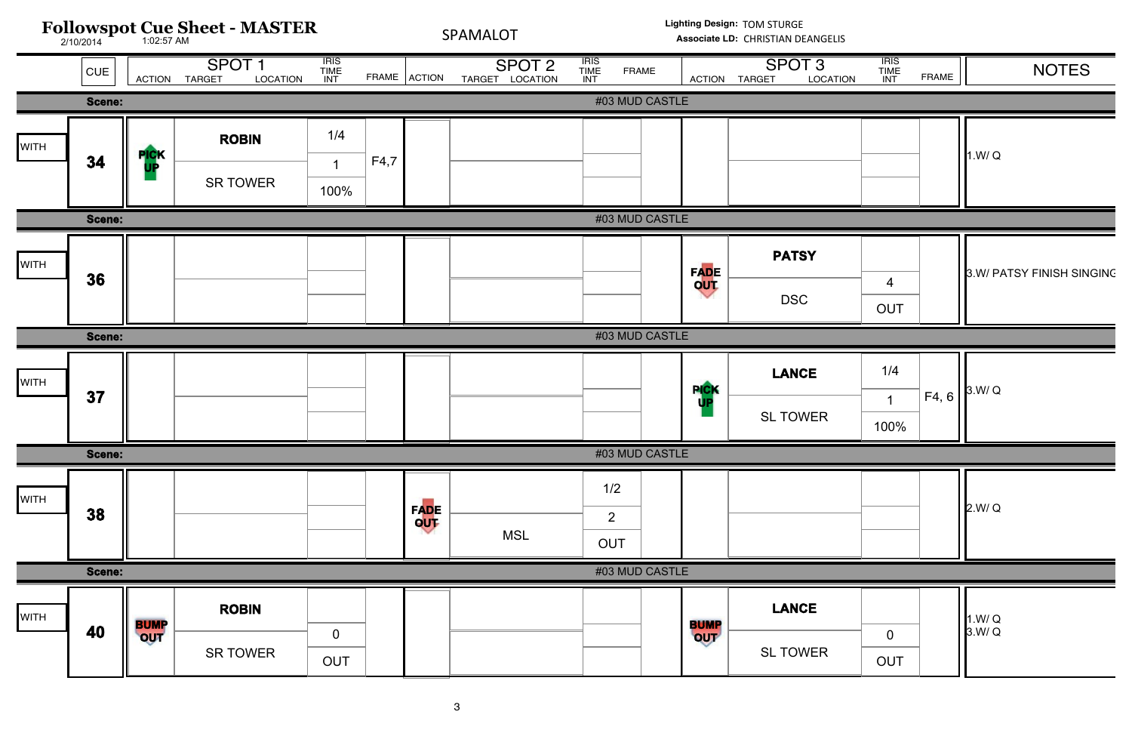

| <b>ATION</b> | <b>IRIS</b><br><b>TIME</b><br>INT | <b>FRAME</b> | <b>NOTES</b>              |
|--------------|-----------------------------------|--------------|---------------------------|
|              |                                   |              |                           |
|              |                                   |              | 1.W/Q                     |
|              |                                   |              |                           |
|              | $\overline{4}$<br><b>OUT</b>      |              | 3.W/ PATSY FINISH SINGINC |
|              |                                   |              |                           |
|              | 1/4<br>$\mathbf 1$<br>100%        | F4, 6        | 3.W/Q                     |
|              |                                   |              |                           |
|              |                                   |              | 2.W/Q                     |
|              |                                   |              |                           |
|              | $\pmb{0}$<br><b>OUT</b>           |              | 1.W/Q<br>3.W/Q            |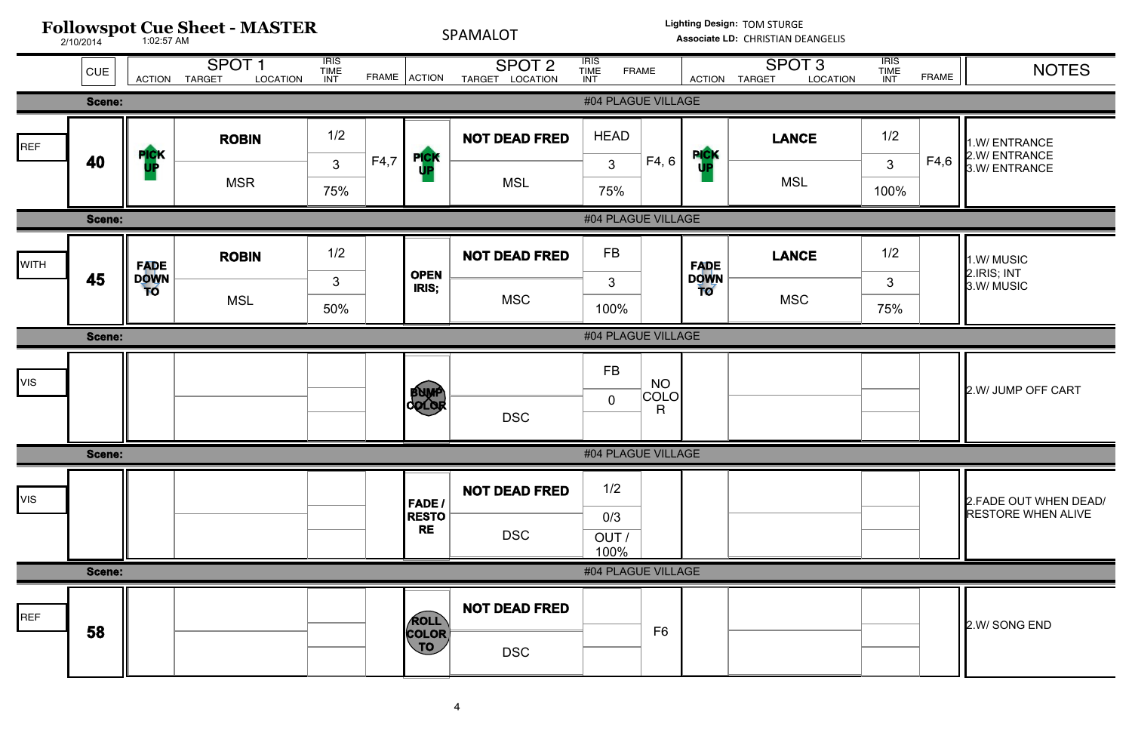

| <b>ATION</b> | <b>IRIS</b><br><b>TIME</b><br><b>INT</b> | <b>FRAME</b> | <b>NOTES</b>                                        |
|--------------|------------------------------------------|--------------|-----------------------------------------------------|
|              |                                          |              |                                                     |
|              | 1/2<br>3                                 | F4,6         | 1.W/ ENTRANCE<br>2.W/ ENTRANCE<br>3.W/ENTRANCE      |
|              | 100%                                     |              |                                                     |
|              |                                          |              |                                                     |
|              | 1/2<br>3<br>75%                          |              | 1.W/MUSIC<br>2.IRIS; INT<br>3.W/MUSIC               |
|              |                                          |              |                                                     |
|              |                                          |              | 2.W/ JUMP OFF CART                                  |
|              |                                          |              |                                                     |
|              |                                          |              | 2. FADE OUT WHEN DEAD/<br><b>RESTORE WHEN ALIVE</b> |
|              |                                          |              |                                                     |
|              |                                          |              | 2.W/ SONG END                                       |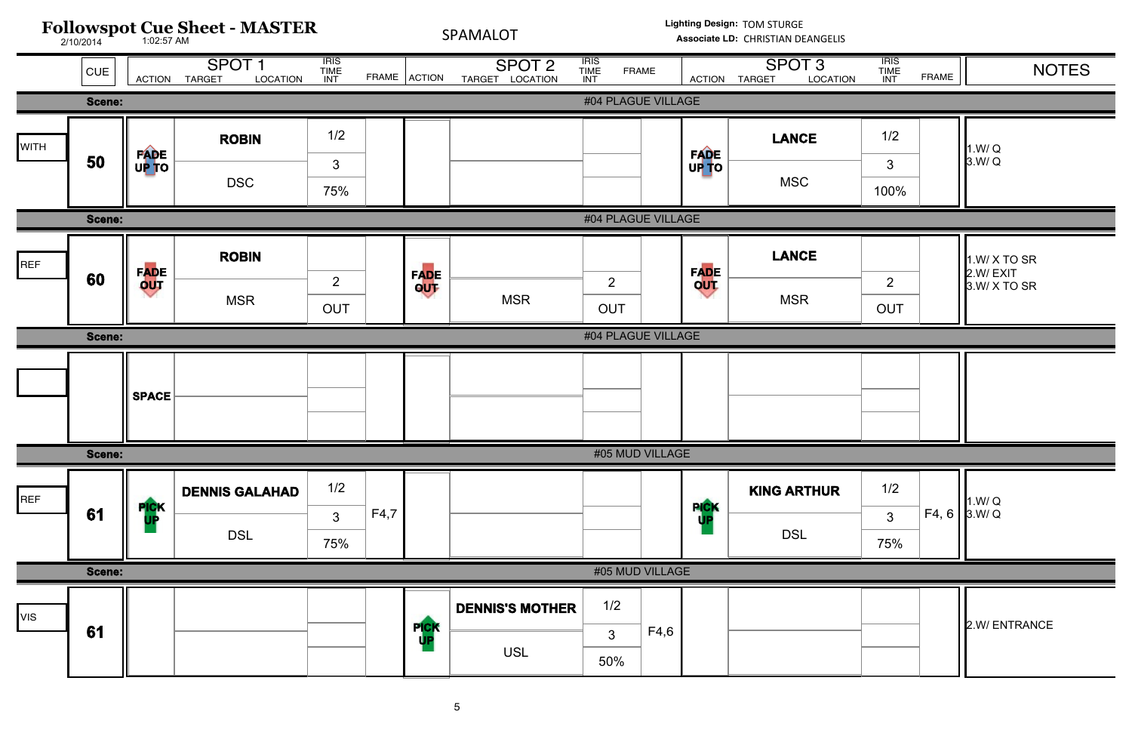

| <b>TION</b> | IRIS<br><b>TIME</b><br><b>INT</b> | <b>FRAME</b> | <b>NOTES</b>                             |
|-------------|-----------------------------------|--------------|------------------------------------------|
|             |                                   |              |                                          |
|             | 1/2<br>3<br>100%                  |              | 1.W/Q<br>3.W/Q                           |
|             |                                   |              |                                          |
|             | $\overline{2}$<br><b>OUT</b>      |              | 1.W/ X TO SR<br>2.W/EXIT<br>3.W/ X TO SR |
|             |                                   |              |                                          |
|             |                                   |              |                                          |
| R           | 1/2<br>$\mathfrak{S}$<br>75%      | F4, 6        | 1.W/Q<br>3.W/Q                           |
|             |                                   |              |                                          |
|             |                                   |              | 2.W/ ENTRANCE                            |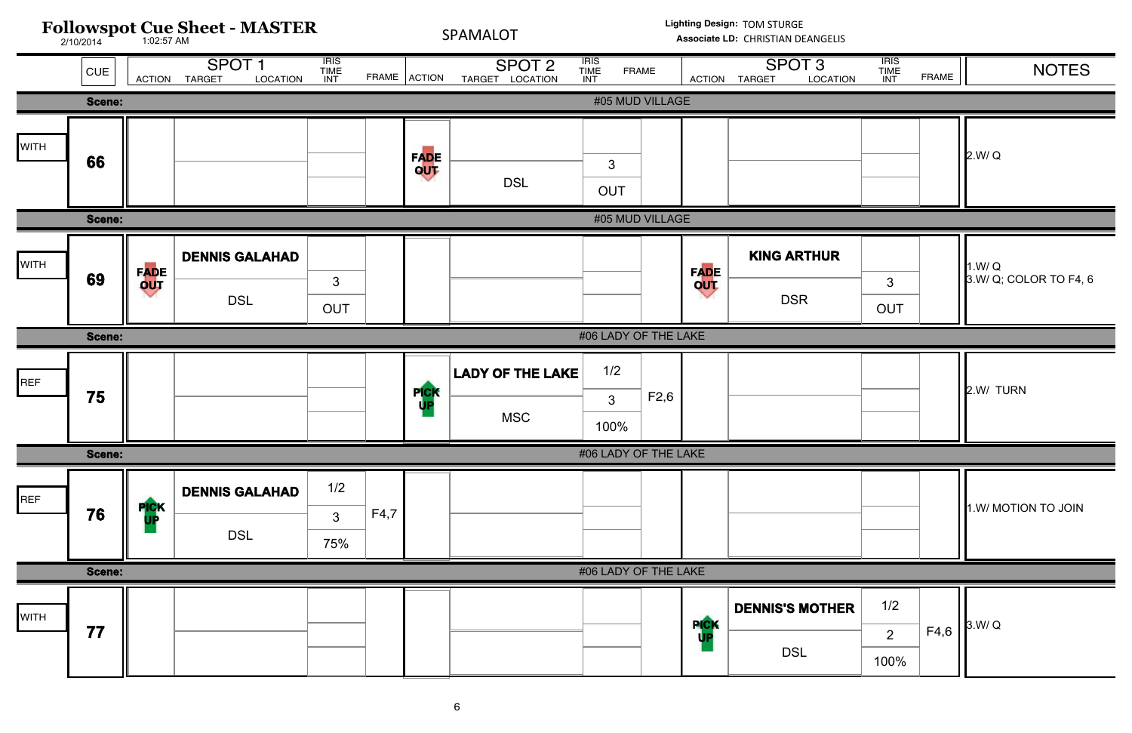

| <b>TION</b> | <b>IRIS</b><br><b>TIME</b><br><b>INT</b> | <b>FRAME</b> | <b>NOTES</b>                    |
|-------------|------------------------------------------|--------------|---------------------------------|
|             |                                          |              |                                 |
|             |                                          |              | 2.W/Q                           |
|             |                                          |              |                                 |
| R           | $\mathbf{3}$<br><b>OUT</b>               |              | 1.W/Q<br>3.W/ Q; COLOR TO F4, 6 |
|             |                                          |              |                                 |
|             |                                          |              | 2.W/ TURN                       |
|             |                                          |              |                                 |
|             |                                          |              | 1.W/ MOTION TO JOIN             |
|             |                                          |              |                                 |
| <b>HER</b>  | 1/2<br>$\overline{2}$<br>100%            | F4,6         | 3.W/Q                           |
|             |                                          |              |                                 |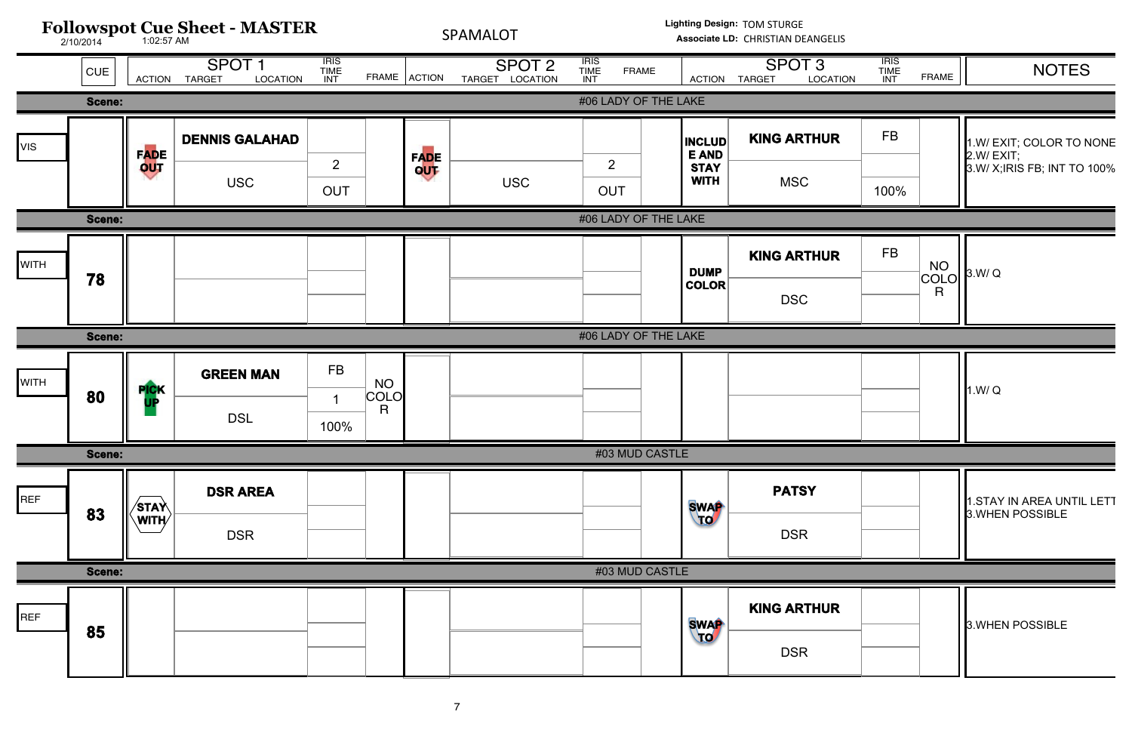

| <b>TION</b> | <b>IRIS</b><br>TIME<br>INT | <b>FRAME</b>                      | <b>NOTES</b>                                                          |
|-------------|----------------------------|-----------------------------------|-----------------------------------------------------------------------|
|             |                            |                                   |                                                                       |
| R           | FB                         |                                   | 1.W/ EXIT; COLOR TO NONE<br>2.W/EXIT;<br>3.W/ X; IRIS FB; INT TO 100% |
|             | 100%                       |                                   |                                                                       |
|             |                            |                                   |                                                                       |
| R           | <b>FB</b>                  | <b>NO</b><br>COLO<br>$\mathsf{R}$ | 3.W/Q                                                                 |
|             |                            |                                   |                                                                       |
|             |                            |                                   | 1.W/Q                                                                 |
|             |                            |                                   |                                                                       |
|             |                            |                                   | 1.STAY IN AREA UNTIL LETT<br>3. WHEN POSSIBLE                         |
|             |                            |                                   |                                                                       |
| R           |                            |                                   | 3. WHEN POSSIBLE                                                      |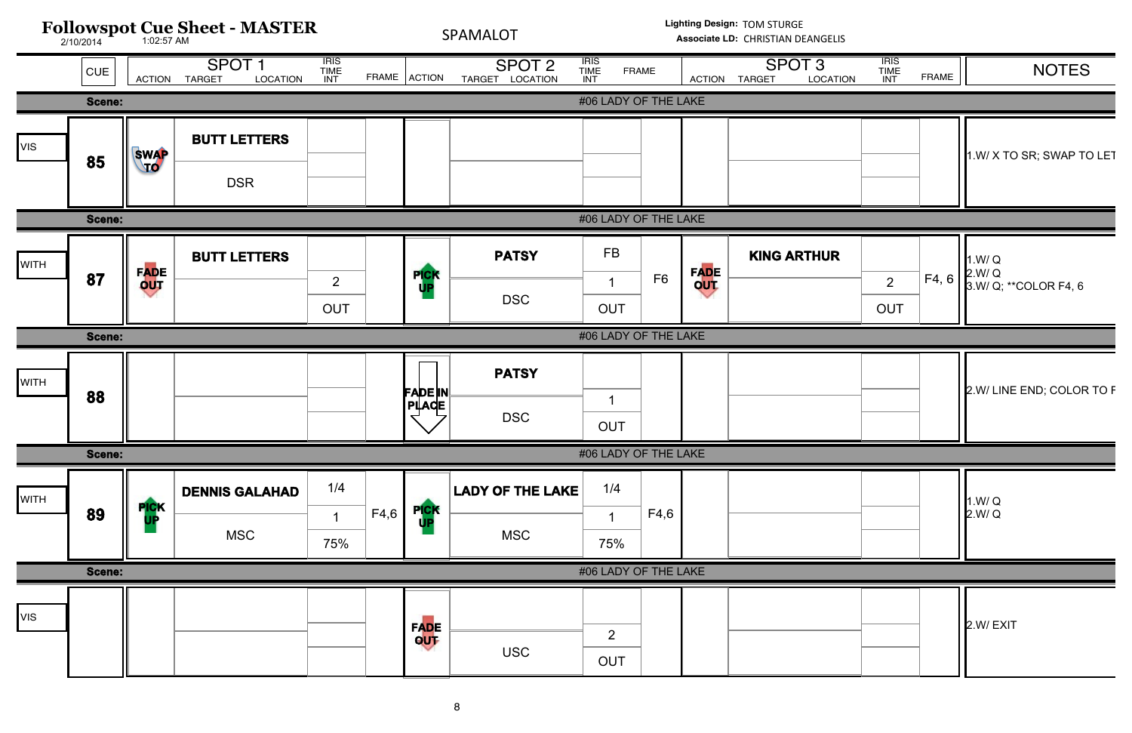

| <b>TION</b> | <b>IRIS</b><br><b>TIME</b><br>INT | <b>FRAME</b> | <b>NOTES</b>                    |
|-------------|-----------------------------------|--------------|---------------------------------|
|             |                                   |              | 1.W/ X TO SR; SWAP TO LET       |
| R           |                                   |              | 1.W/Q                           |
|             | $\overline{2}$<br><b>OUT</b>      | F4, 6        | 2.W/ Q<br>3.W/ Q; **COLOR F4, 6 |
|             |                                   |              | 2.W/ LINE END; COLOR TO F       |
|             |                                   |              | 1.W/Q<br>2.W/Q                  |
|             |                                   |              | 2.W/EXIT                        |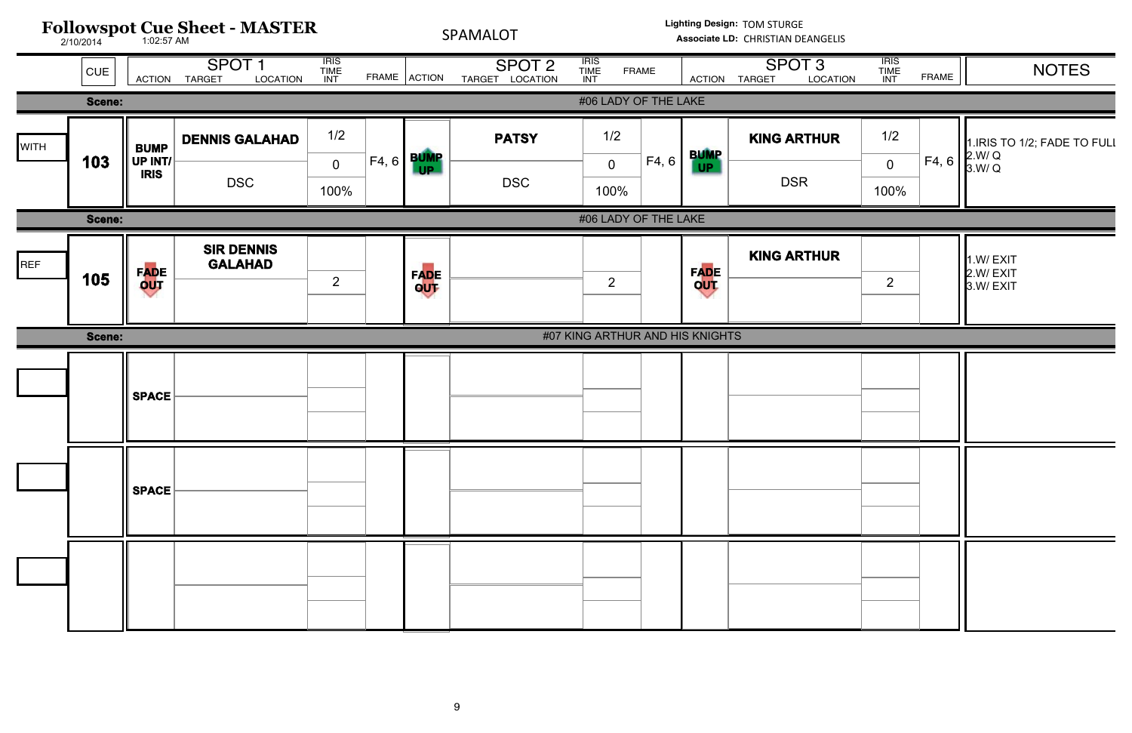|             |                                | <b>Followspot Cue Sheet - MASTER</b> |                                                |                              |       | Lighting Design: TOM STURGE<br>SPAMALOT<br>Associate LD: CHRISTIAN DEANGELIS |                                      |                                       |                    |                                                |                        |       |                                                |
|-------------|--------------------------------|--------------------------------------|------------------------------------------------|------------------------------|-------|------------------------------------------------------------------------------|--------------------------------------|---------------------------------------|--------------------|------------------------------------------------|------------------------|-------|------------------------------------------------|
|             | CUE                            |                                      | SPOT <sub>1</sub><br>ACTION TARGET<br>LOCATION | <b>IRIS<br/>TIME<br/>INT</b> |       | FRAME ACTION                                                                 | SPOT <sub>2</sub><br>TARGET LOCATION | <b>IRIS<br/>TIME<br/>INT</b><br>FRAME |                    | SPOT <sub>3</sub><br>LOCATION<br>ACTION TARGET |                        | FRAME | <b>NOTES</b>                                   |
|             |                                | #06 LADY OF THE LAKE<br>Scene:       |                                                |                              |       |                                                                              |                                      |                                       |                    |                                                |                        |       |                                                |
| <b>WITH</b> | <b>BUMP</b>                    |                                      | <b>DENNIS GALAHAD</b>                          | 1/2                          |       |                                                                              | <b>PATSY</b>                         | 1/2                                   | <b>BUMP</b>        | <b>KING ARTHUR</b>                             | 1/2                    |       | 1. IRIS TO 1/2; FADE TO FULI                   |
|             | 103                            | UP INT/<br><b>IRIS</b>               | <b>DSC</b>                                     | $\overline{0}$<br>100%       | F4, 6 | <b>BUMP</b>                                                                  | <b>DSC</b>                           | F4, 6<br>$\overline{0}$<br>100%       | UP                 | <b>DSR</b>                                     | $\overline{0}$<br>100% | F4, 6 | $\begin{bmatrix} 2.W/Q \\ 3.W/Q \end{bmatrix}$ |
|             | #06 LADY OF THE LAKE<br>Scene: |                                      |                                                |                              |       |                                                                              |                                      |                                       |                    |                                                |                        |       |                                                |
| REF         | 105                            | F <mark>AD</mark> E<br>OUT           | <b>SIR DENNIS</b><br><b>GALAHAD</b>            | 2                            |       | FADE<br>OUT                                                                  |                                      | $\overline{2}$                        | <b>FADE</b><br>QUT | <b>KING ARTHUR</b>                             | $\overline{2}$         |       | 1.W/EXIT<br>2.W/EXIT<br>3.W/EXIT               |
|             |                                |                                      |                                                |                              |       |                                                                              |                                      |                                       |                    |                                                |                        |       |                                                |
|             | Scene:                         |                                      |                                                |                              |       |                                                                              |                                      | #07 KING ARTHUR AND HIS KNIGHTS       |                    |                                                |                        |       |                                                |
|             |                                |                                      |                                                |                              |       |                                                                              |                                      |                                       |                    |                                                |                        |       |                                                |
|             |                                | <b>SPACE</b>                         |                                                |                              |       |                                                                              |                                      |                                       |                    |                                                |                        |       |                                                |
|             |                                |                                      |                                                |                              |       |                                                                              |                                      |                                       |                    |                                                |                        |       |                                                |
|             |                                |                                      |                                                |                              |       |                                                                              |                                      |                                       |                    |                                                |                        |       |                                                |
|             |                                |                                      |                                                |                              |       |                                                                              |                                      |                                       |                    |                                                |                        |       |                                                |
|             |                                | <b>SPACE</b>                         |                                                |                              |       |                                                                              |                                      |                                       |                    |                                                |                        |       |                                                |
|             |                                |                                      |                                                |                              |       |                                                                              |                                      |                                       |                    |                                                |                        |       |                                                |
|             |                                |                                      |                                                |                              |       |                                                                              |                                      |                                       |                    |                                                |                        |       |                                                |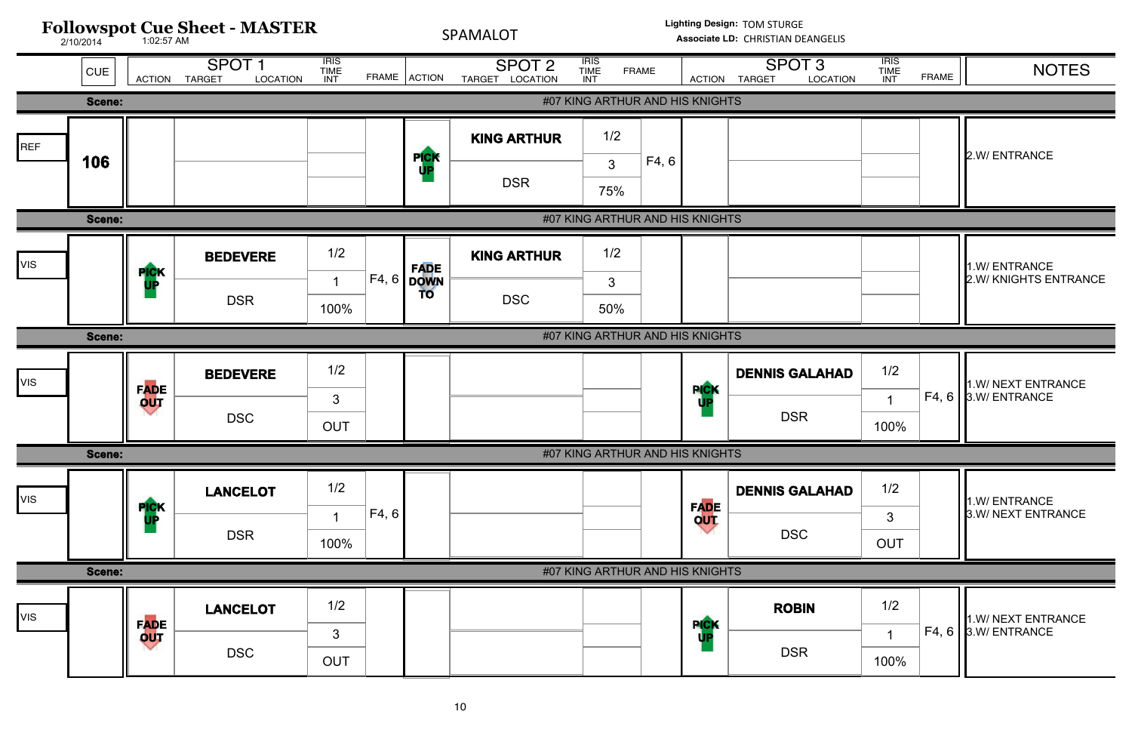

| <b>TION</b> | <b>IRIS</b><br><b>TIME</b><br><b>INT</b> | <b>FRAME</b> | <b>NOTES</b>                           |
|-------------|------------------------------------------|--------------|----------------------------------------|
|             |                                          |              |                                        |
|             |                                          |              | 2.W/ENTRANCE                           |
|             |                                          |              |                                        |
|             |                                          |              | 1.W/ ENTRANCE<br>2.W/ KNIGHTS ENTRANCE |
|             |                                          |              |                                        |
| <b>IAD</b>  | 1/2<br>1<br>100%                         | F4, 6        | 1.W/ NEXT ENTRANCE<br>3.W/ ENTRANCE    |
|             |                                          |              |                                        |
| IAD         | 1/2<br>3<br><b>OUT</b>                   |              | 1.W/ ENTRANCE<br>3.W/ NEXT ENTRANCE    |
|             |                                          |              |                                        |
|             | 1/2<br>1<br>100%                         | F4, 6        | 1.W/ NEXT ENTRANCE<br>3.W/ ENTRANCE    |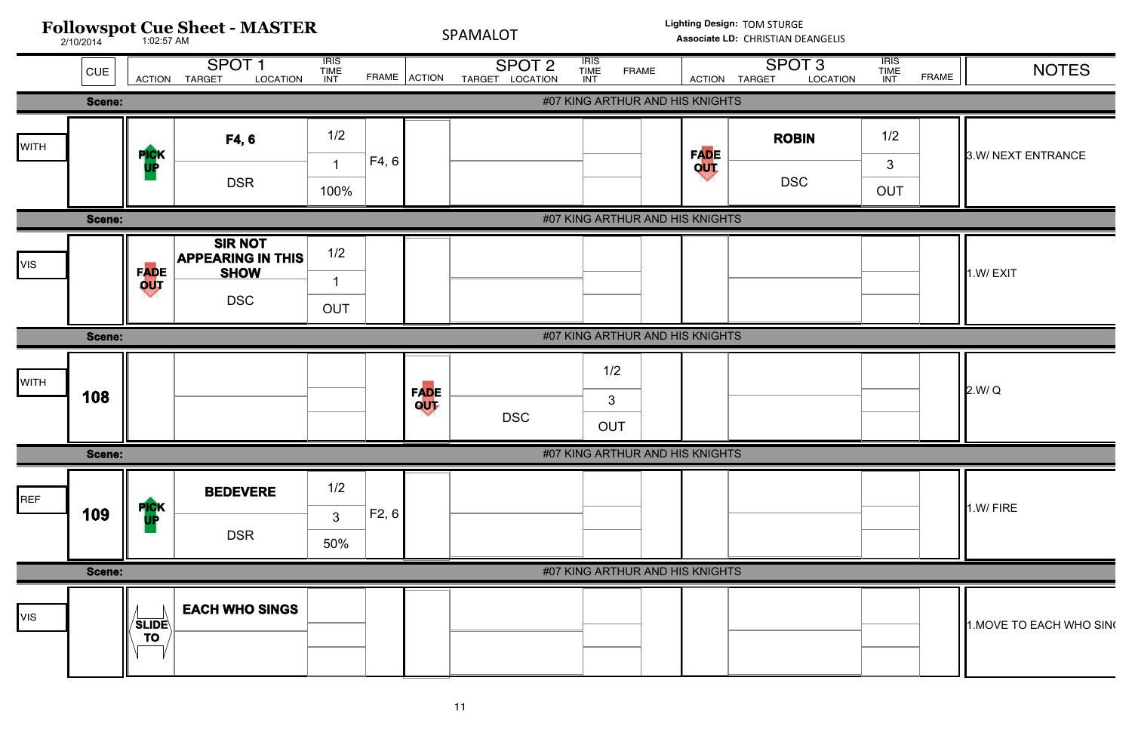

| <b>ATION</b> | <b>IRIS</b><br><b>TIME</b><br>INT | <b>FRAME</b> | <b>NOTES</b>             |
|--------------|-----------------------------------|--------------|--------------------------|
|              |                                   |              |                          |
|              | 1/2                               |              |                          |
|              | $\mathfrak{S}$                    |              | 3.W/ NEXT ENTRANCE       |
|              | <b>OUT</b>                        |              |                          |
|              |                                   |              |                          |
|              |                                   |              | 1.W/EXIT                 |
|              |                                   |              |                          |
|              |                                   |              |                          |
|              |                                   |              |                          |
|              |                                   |              | 2.W/Q                    |
|              |                                   |              |                          |
|              |                                   |              |                          |
|              |                                   |              |                          |
|              |                                   |              | 1.W/FIRE                 |
|              |                                   |              |                          |
|              |                                   |              |                          |
|              |                                   |              | 1. MOVE TO EACH WHO SING |
|              |                                   |              |                          |
|              |                                   |              |                          |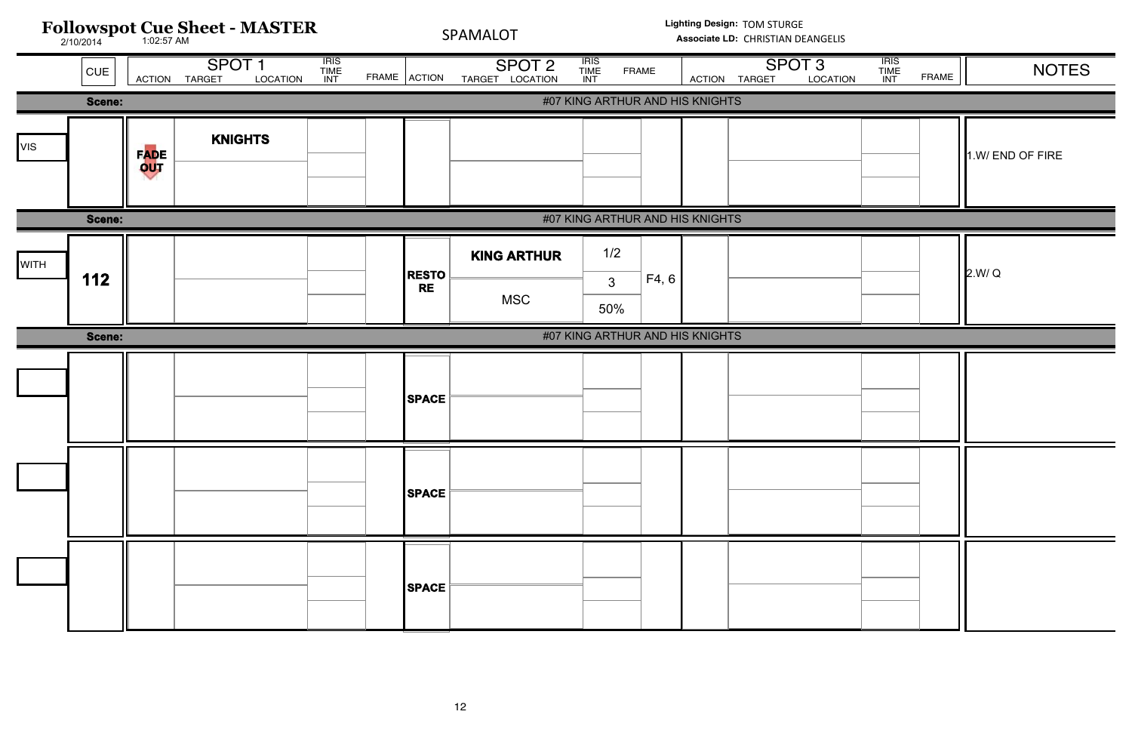| Followspot Cue Sheet - MASTER |        |             |                                                |                              | Lighting Design: TOM STURGE<br>SPAMALOT<br>Associate LD: CHRISTIAN DEANGELIS |                                      |                                              |  |                                    |          |                              |              |                  |
|-------------------------------|--------|-------------|------------------------------------------------|------------------------------|------------------------------------------------------------------------------|--------------------------------------|----------------------------------------------|--|------------------------------------|----------|------------------------------|--------------|------------------|
|                               | CUE    |             | SPOT <sub>1</sub><br>LOCATION<br>ACTION TARGET | <b>IRIS<br/>TIME<br/>INT</b> | FRAME ACTION                                                                 | SPOT <sub>2</sub><br>TARGET LOCATION | <b>IRIS<br/>TIME<br/>INT</b><br><b>FRAME</b> |  | SPOT <sub>3</sub><br>ACTION TARGET | LOCATION | <b>IRIS<br/>TIME<br/>INT</b> | <b>FRAME</b> | <b>NOTES</b>     |
|                               | Scene: |             |                                                |                              |                                                                              |                                      | #07 KING ARTHUR AND HIS KNIGHTS              |  |                                    |          |                              |              |                  |
| <b>VIS</b>                    |        | FADE<br>OUT | <b>KNIGHTS</b>                                 |                              |                                                                              |                                      |                                              |  |                                    |          |                              |              | 1.W/ END OF FIRE |
|                               |        |             |                                                |                              |                                                                              |                                      |                                              |  |                                    |          |                              |              |                  |
|                               | Scene: |             |                                                |                              |                                                                              |                                      | #07 KING ARTHUR AND HIS KNIGHTS              |  |                                    |          |                              |              |                  |
| <b>WITH</b>                   | 112    |             |                                                |                              | <b>RESTO</b>                                                                 | <b>KING ARTHUR</b>                   | 1/2<br>F4, 6<br>$\mathbf{3}$                 |  |                                    |          |                              |              | 2.W/Q            |
|                               |        |             |                                                |                              | <b>RE</b>                                                                    | <b>MSC</b>                           | 50%                                          |  |                                    |          |                              |              |                  |
|                               | Scene: |             |                                                |                              |                                                                              |                                      | #07 KING ARTHUR AND HIS KNIGHTS              |  |                                    |          |                              |              |                  |
|                               |        |             |                                                |                              | <b>SPACE</b>                                                                 |                                      |                                              |  |                                    |          |                              |              |                  |
|                               |        |             |                                                |                              | <b>SPACE</b>                                                                 |                                      |                                              |  |                                    |          |                              |              |                  |
|                               |        |             |                                                |                              | <b>SPACE</b>                                                                 |                                      |                                              |  |                                    |          |                              |              |                  |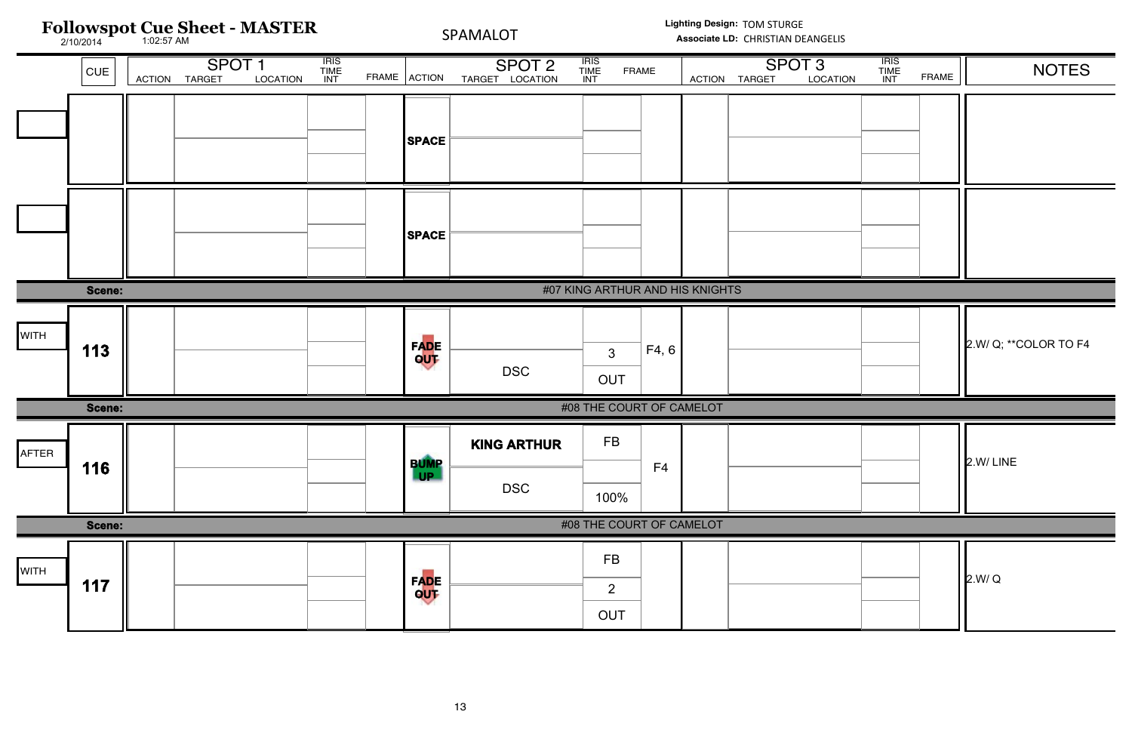## IRIS INT TIME CUE ACTION TARGET LOCATION INT FRAME ACTION TARGET LOCATION INT FRAME ACTION TARGET LOCATION INT FRAME ACTION T IRIS INT FRAME **Followspot Cue Sheet - MASTER** 2/10/2014 1:02:57 AM  $\text{SNOT 2}$  TIME FRAME  $\begin{array}{|c|c|c|c|c|c|}\n\hline\n\text{SNOT 3} & \text{IHS} & \text{NOTES}\n\hline\n\text{SNOT 2} & \text{TIME} & \text{FRAME}\n\end{array}$ **Lighting Design:** TOM STURGE SPAMALOT Associate LD: CHRISTIAN DEANGELIS **SPACE SPACE Scene:** #07 KING ARTHUR AND HIS KNIGHTS DSC **FADE OUT** OUT **113**  $\begin{bmatrix} \mathsf{FADE} \\ \mathsf{QITE} \end{bmatrix}$   $\begin{bmatrix} \mathsf{F4, 6} \\ \mathsf{3} \end{bmatrix}$   $\begin{bmatrix} \mathsf{F4, 6} \\ \mathsf{1} \end{bmatrix}$   $\begin{bmatrix} \mathsf{2.}W / Q; \star \star \text{COLOR TO F4} \\ \star \end{bmatrix}$ **WITH Scene:** #08 THE COURT OF CAMELOT **KING ARTHUR BUMP** FB AFTER

| <b>CUE</b> | <b>ACTION</b>                   | SPOT <sub>1</sub><br><b>TARGET</b> | LOCATION | <b>IRIS<br/>TIME<br/>INT</b> | FRAME ACTION |                          | SPOT <sub>2</sub><br>LOCATION<br><b>TARGET</b> | <b>IRIS<br/>TIME<br/>INT</b>       | FRAME                    | <b>ACTION</b> | SPOT <sub>3</sub><br><b>TARGET</b> | LOCATION | <b>IRIS<br/>TIME<br/>INT</b> | <b>FRAME</b> | <b>NOTES</b>           |
|------------|---------------------------------|------------------------------------|----------|------------------------------|--------------|--------------------------|------------------------------------------------|------------------------------------|--------------------------|---------------|------------------------------------|----------|------------------------------|--------------|------------------------|
|            |                                 |                                    |          |                              |              | <b>SPACE</b>             |                                                |                                    |                          |               |                                    |          |                              |              |                        |
|            |                                 |                                    |          |                              |              | <b>SPACE</b>             |                                                |                                    |                          |               |                                    |          |                              |              |                        |
| Scene:     | #07 KING ARTHUR AND HIS KNIGHTS |                                    |          |                              |              |                          |                                                |                                    |                          |               |                                    |          |                              |              |                        |
| 113        |                                 |                                    |          |                              |              | FADE<br>OUT              | <b>DSC</b>                                     | $\mathbf{3}$<br><b>OUT</b>         | F4, 6                    |               |                                    |          |                              |              | 2.W/ Q; ** COLOR TO F4 |
| Scene:     |                                 |                                    |          |                              |              |                          |                                                |                                    | #08 THE COURT OF CAMELOT |               |                                    |          |                              |              |                        |
| 116        |                                 |                                    |          |                              |              | <b>BUMP</b><br><b>UP</b> | <b>KING ARTHUR</b><br><b>DSC</b>               | <b>FB</b><br>100%                  | F <sub>4</sub>           |               |                                    |          |                              |              | 2.W/LINE               |
| Scene:     |                                 |                                    |          |                              |              |                          |                                                |                                    | #08 THE COURT OF CAMELOT |               |                                    |          |                              |              |                        |
| 117        |                                 |                                    |          |                              |              | <b>FADE</b><br>QUT       |                                                | <b>FB</b><br>$\overline{2}$<br>OUT |                          |               |                                    |          |                              |              | 2.W/Q                  |

|             |               |  | ____                      | <b>DSC</b> | 100%                     |  |  |       |
|-------------|---------------|--|---------------------------|------------|--------------------------|--|--|-------|
|             | <b>Scene:</b> |  |                           |            | #08 THE COURT OF CAMELOT |  |  |       |
| <b>WITH</b> |               |  |                           |            | <b>FB</b>                |  |  |       |
|             | 117           |  | <b>FADE</b><br><b>QUT</b> |            |                          |  |  | 2.W/Q |
|             |               |  |                           |            | <b>OUT</b>               |  |  |       |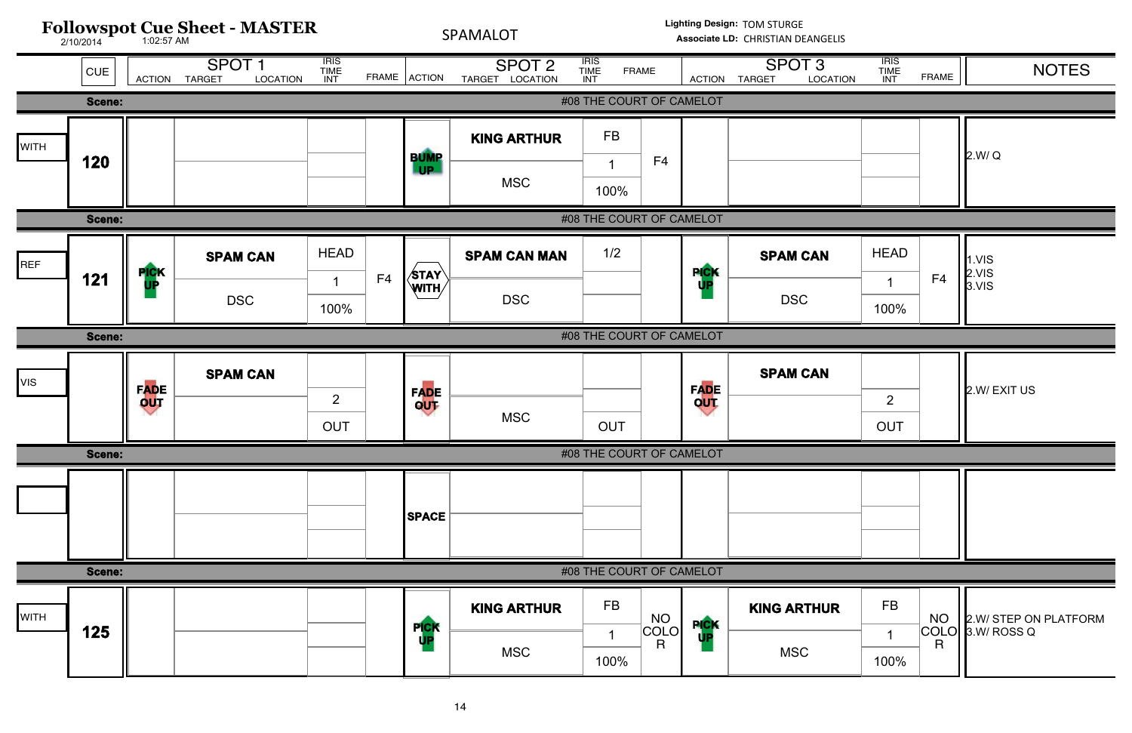

| <b>ATION</b> | <b>IRIS</b><br><b>TIME</b><br><b>INT</b> | <b>FRAME</b>    | <b>NOTES</b>                         |
|--------------|------------------------------------------|-----------------|--------------------------------------|
|              |                                          |                 |                                      |
|              |                                          |                 | 2.W/Q                                |
|              |                                          |                 |                                      |
|              |                                          |                 |                                      |
|              | <b>HEAD</b>                              |                 | 1.VIS                                |
|              | 1                                        | F4              | 2.VIS<br>3.VIS                       |
|              | 100%                                     |                 |                                      |
|              |                                          |                 |                                      |
|              | $\overline{2}$                           |                 | 2.W/EXITUS                           |
|              | <b>OUT</b>                               |                 |                                      |
|              |                                          |                 |                                      |
|              |                                          |                 |                                      |
|              |                                          |                 |                                      |
|              |                                          |                 |                                      |
|              |                                          |                 |                                      |
| R            | <b>FB</b>                                |                 |                                      |
|              | 1                                        | NO<br>COLO<br>R | 2.W/ STEP ON PLATFORM<br>3.W/ ROSS Q |
|              | 100%                                     |                 |                                      |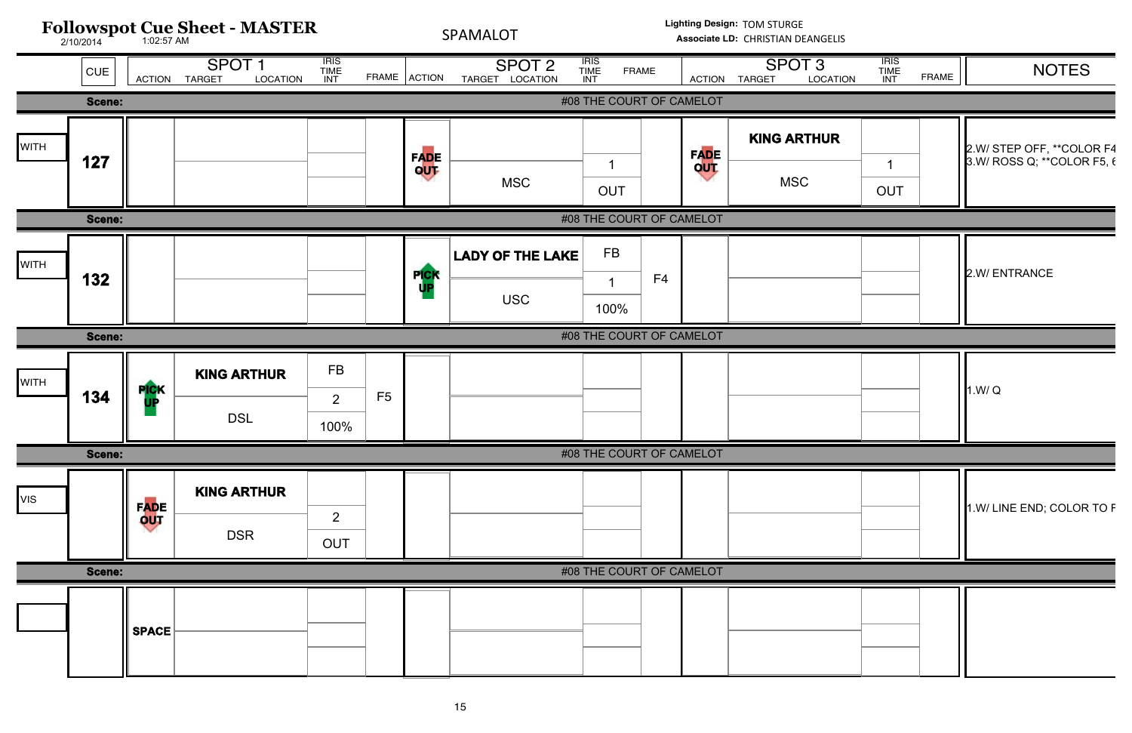

| <b>TION</b> | <b>IRIS</b><br><b>TIME</b><br>INT | <b>FRAME</b> | <b>NOTES</b>               |
|-------------|-----------------------------------|--------------|----------------------------|
|             |                                   |              |                            |
| R           |                                   |              | 2.W/ STEP OFF, ** COLOR F4 |
|             | 1                                 |              | 3.W/ ROSS Q; **COLOR F5, { |
|             | <b>OUT</b>                        |              |                            |
|             |                                   |              |                            |
|             |                                   |              | 2.W/ ENTRANCE              |
|             |                                   |              |                            |
|             |                                   |              |                            |
|             |                                   |              |                            |
|             |                                   |              | 1.W/Q                      |
|             |                                   |              |                            |
|             |                                   |              |                            |
|             |                                   |              | 1.W/ LINE END; COLOR TO F  |
|             |                                   |              |                            |
|             |                                   |              |                            |
|             |                                   |              |                            |
|             |                                   |              |                            |
|             |                                   |              |                            |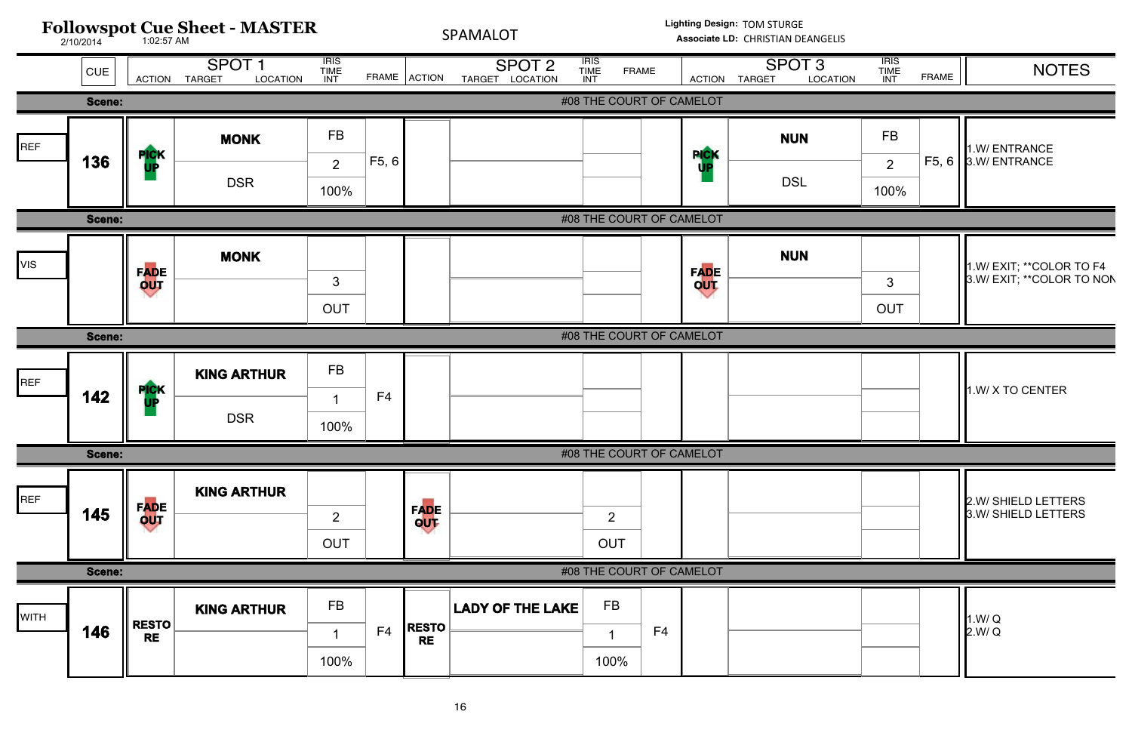![](_page_15_Figure_0.jpeg)

| <b>ATION</b> | <b>IRIS</b><br><b>TIME</b><br><b>INT</b> | <b>FRAME</b> | <b>NOTES</b>                                            |
|--------------|------------------------------------------|--------------|---------------------------------------------------------|
|              |                                          |              |                                                         |
|              | <b>FB</b>                                |              | 1.W/ENTRANCE                                            |
|              | $\overline{2}$                           | F5, 6        | 3.W/ ENTRANCE                                           |
|              | 100%                                     |              |                                                         |
|              | 3<br><b>OUT</b>                          |              | 1.W/ EXIT; ** COLOR TO F4<br>3.W/ EXIT; ** COLOR TO NON |
|              |                                          |              |                                                         |
|              |                                          |              | 1.W/ X TO CENTER                                        |
|              |                                          |              |                                                         |
|              |                                          |              | 2.W/ SHIELD LETTERS<br>3.W/ SHIELD LETTERS              |
|              |                                          |              |                                                         |
|              |                                          |              | 1.W/Q<br>2.W/Q                                          |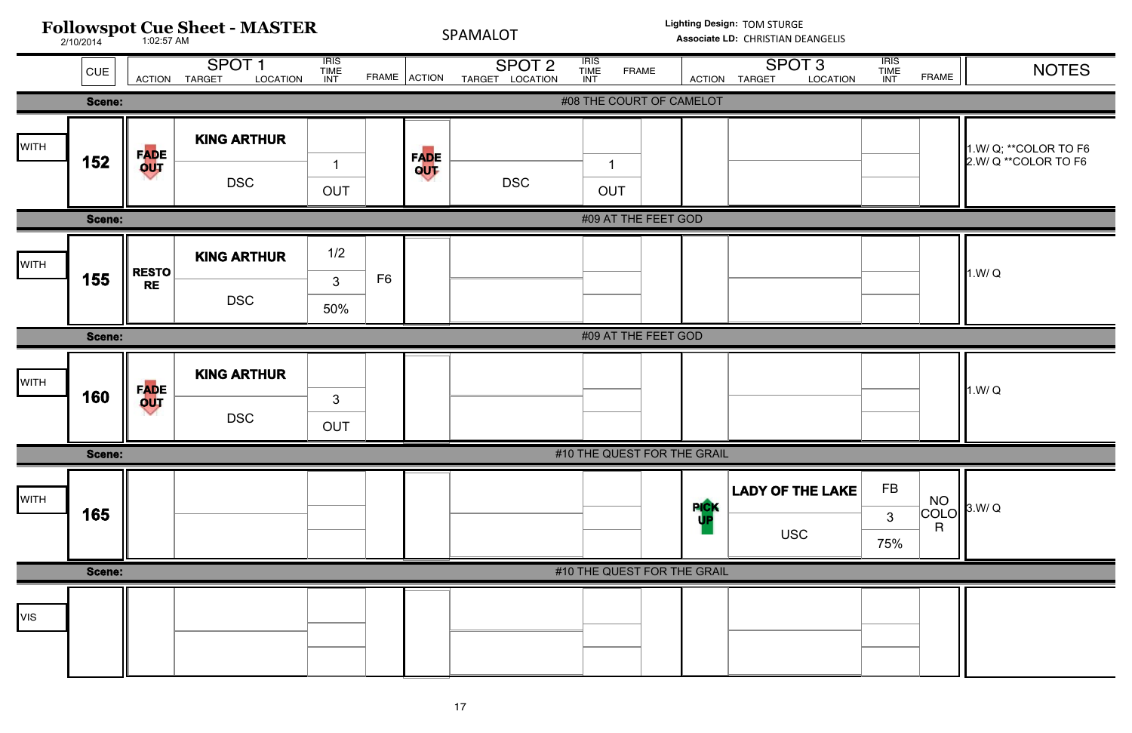![](_page_16_Figure_0.jpeg)

| <b>ATION</b> | $\overline{IRIS}$<br><b>TIME</b><br><b>INT</b> | <b>FRAME</b>    | <b>NOTES</b>                                  |
|--------------|------------------------------------------------|-----------------|-----------------------------------------------|
|              |                                                |                 |                                               |
|              |                                                |                 | 1.W/ Q; **COLOR TO F6<br>2.W/ Q **COLOR TO F6 |
|              |                                                |                 |                                               |
|              |                                                |                 | 1.W/Q                                         |
|              |                                                |                 |                                               |
|              |                                                |                 | 1.W/Q                                         |
|              |                                                |                 |                                               |
| <b>AKE</b>   | <b>FB</b><br>$\mathfrak{S}$<br>75%             | NO<br>COLO<br>R | 3.W/Q                                         |
|              |                                                |                 |                                               |
|              |                                                |                 |                                               |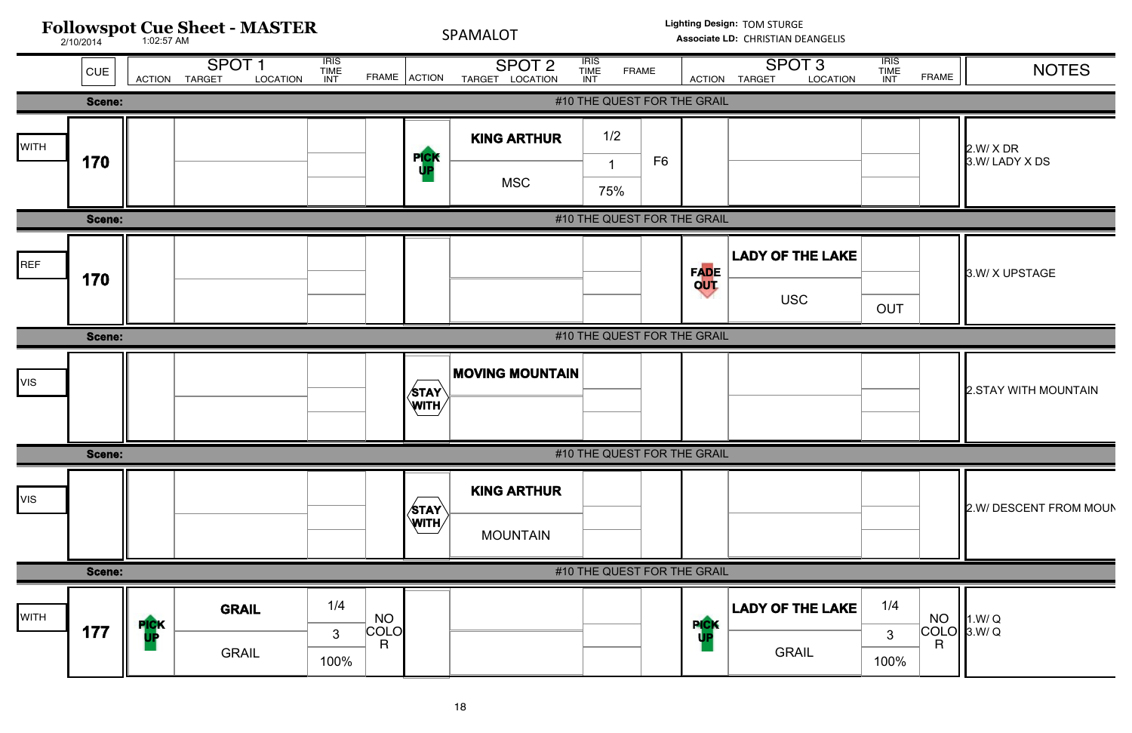![](_page_17_Figure_0.jpeg)

| <b>TION</b> | <b>IRIS</b><br><b>TIME</b><br>INT | <b>FRAME</b>                                        | <b>NOTES</b>             |
|-------------|-----------------------------------|-----------------------------------------------------|--------------------------|
|             |                                   |                                                     |                          |
|             |                                   |                                                     | 2.W/X DR<br>3.W/LADY XDS |
|             |                                   |                                                     |                          |
| <b>AKE</b>  | <b>OUT</b>                        |                                                     | 3.W/X UPSTAGE            |
|             |                                   |                                                     |                          |
|             |                                   |                                                     | 2.STAY WITH MOUNTAIN     |
|             |                                   |                                                     |                          |
|             |                                   |                                                     | 2.W/DESCENT FROM MOUN    |
|             |                                   |                                                     |                          |
| <b>AKE</b>  | 1/4<br>$\mathfrak{S}$<br>100%     | <b>NO</b><br><b>COLO</b><br>$\overline{\mathsf{R}}$ | 1.W/Q<br>3.W/Q           |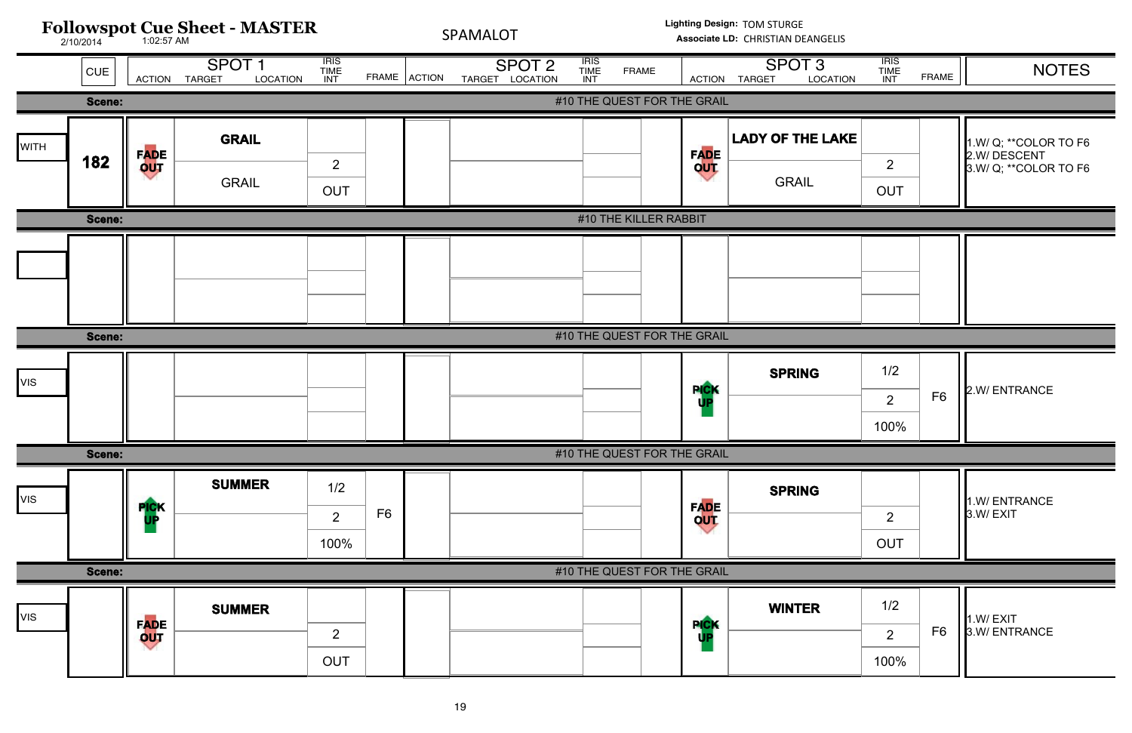![](_page_18_Figure_0.jpeg)

| <b>ATION</b> | <b>IRIS</b><br><b>TIME</b><br><b>INT</b> | <b>FRAME</b>   | <b>NOTES</b>                                                    |
|--------------|------------------------------------------|----------------|-----------------------------------------------------------------|
|              |                                          |                |                                                                 |
| AKE          | $\overline{2}$<br><b>OUT</b>             |                | 1.W/ Q; ** COLOR TO F6<br>2.W/DESCENT<br>3.W/ Q; ** COLOR TO F6 |
|              |                                          |                |                                                                 |
|              |                                          |                |                                                                 |
|              |                                          |                |                                                                 |
|              | 1/2<br>$\overline{2}$<br>100%            | F <sub>6</sub> | 2.W/ ENTRANCE                                                   |
|              |                                          |                |                                                                 |
|              | $\overline{2}$<br><b>OUT</b>             |                | 1.W/ENTRANCE<br>3.W/EXIT                                        |
|              |                                          |                |                                                                 |
|              | 1/2<br>$\overline{2}$<br>100%            | F <sub>6</sub> | 1.W/EXIT<br>3.W/ENTRANCE                                        |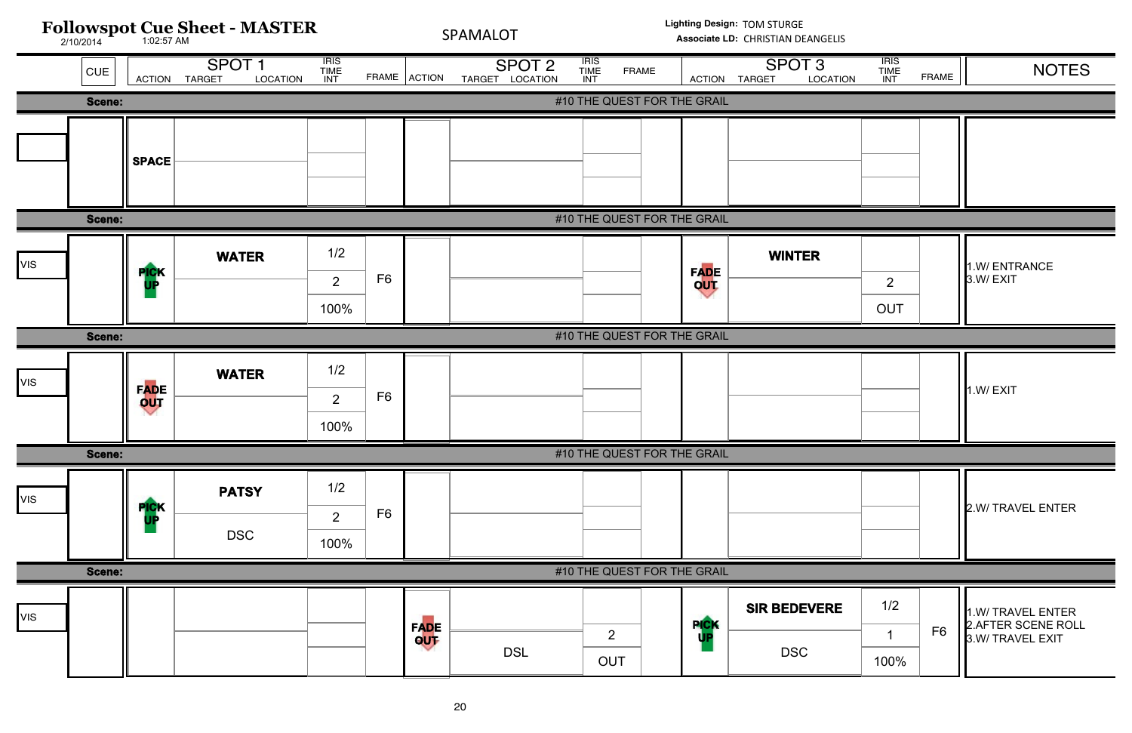![](_page_19_Figure_0.jpeg)

| <b>ATION</b> | <b>IRIS</b><br><b>TIME</b><br><b>INT</b> | <b>FRAME</b>   | <b>NOTES</b>                            |
|--------------|------------------------------------------|----------------|-----------------------------------------|
|              |                                          |                |                                         |
|              |                                          |                |                                         |
|              |                                          |                |                                         |
|              |                                          |                |                                         |
|              |                                          |                |                                         |
|              |                                          |                | 1.W/ENTRANCE                            |
|              | $\overline{2}$                           |                | 3.W/EXIT                                |
|              | <b>OUT</b>                               |                |                                         |
|              |                                          |                |                                         |
|              |                                          |                | 1.W/EXIT                                |
|              |                                          |                |                                         |
|              |                                          |                |                                         |
|              |                                          |                |                                         |
|              |                                          |                | 2.W/ TRAVEL ENTER                       |
|              |                                          |                |                                         |
|              |                                          |                |                                         |
| λĒ           | 1/2                                      |                | 1.W/ TRAVEL ENTER                       |
|              | 1                                        | F <sub>6</sub> | 2. AFTER SCENE ROLL<br>3.W/ TRAVEL EXIT |
|              | 100%                                     |                |                                         |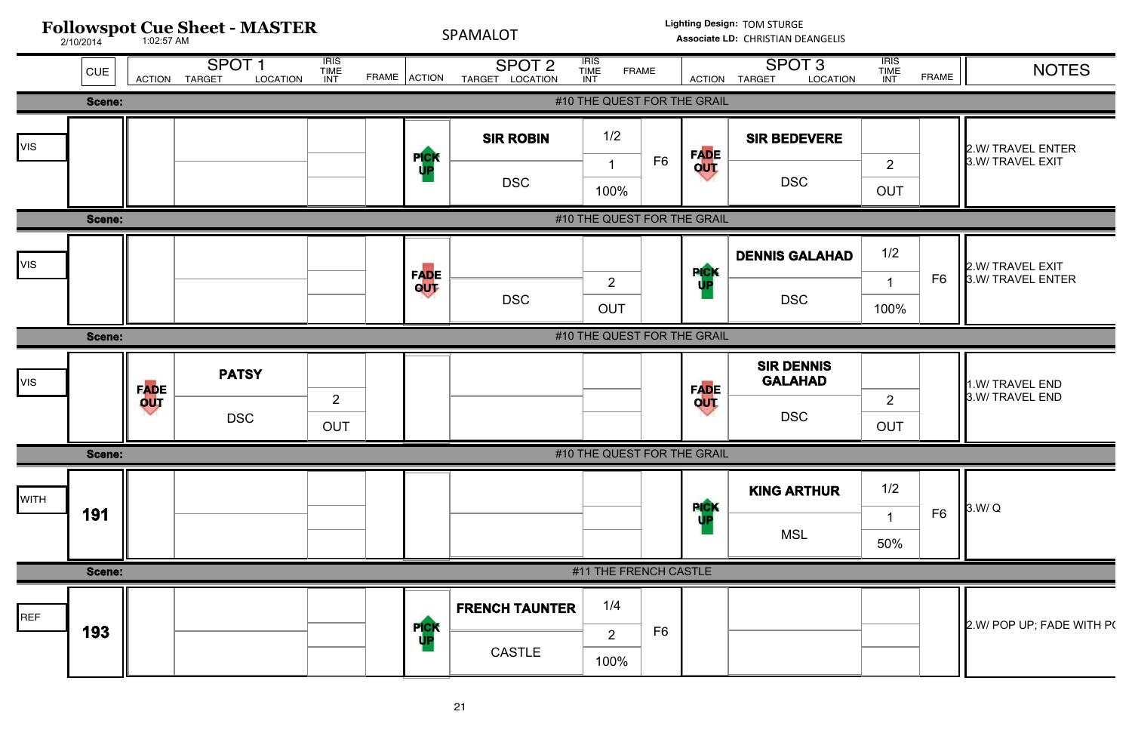![](_page_20_Figure_0.jpeg)

| <b>TION</b> | <b>IRIS</b><br><b>TIME</b><br><b>INT</b> | <b>FRAME</b>   | <b>NOTES</b>                          |
|-------------|------------------------------------------|----------------|---------------------------------------|
|             |                                          |                |                                       |
| <b>E</b>    | $\overline{2}$                           |                | 2.W/ TRAVEL ENTER<br>3.W/ TRAVEL EXIT |
|             | <b>OUT</b>                               |                |                                       |
|             |                                          |                |                                       |
| IAD         | 1/2<br>1<br>100%                         | F <sub>6</sub> | 2.W/ TRAVEL EXIT<br>3.W/ TRAVEL ENTER |
|             |                                          |                |                                       |
|             | $\overline{2}$<br><b>OUT</b>             |                | 1.W/ TRAVEL END<br>3.W/ TRAVEL END    |
|             |                                          |                |                                       |
| R           | 1/2<br>1<br>50%                          | F <sub>6</sub> | 3.W/Q                                 |
|             |                                          |                |                                       |
|             |                                          |                | 2.W/ POP UP; FADE WITH P(             |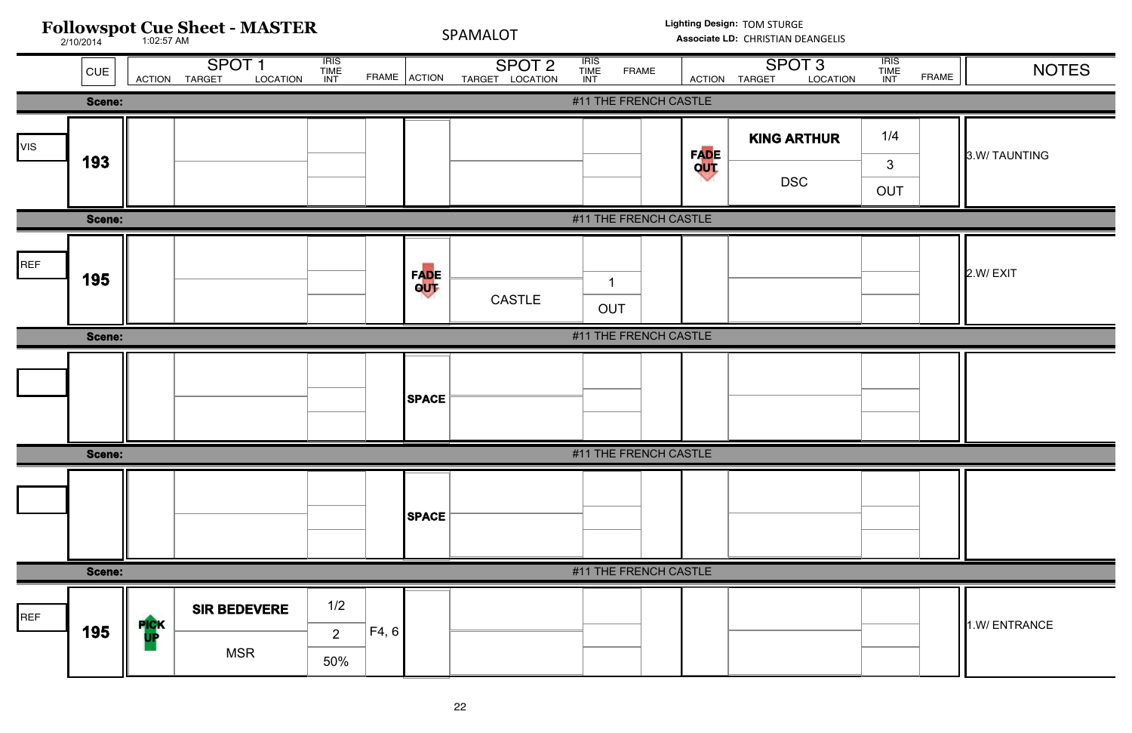| <b>IRIS<br/>TIME<br/>INT</b><br><b>IRIS<br/>TIME<br/>INT</b><br>SPOT <sub>1</sub><br><b>IRIS<br/>TIME<br/>INT</b><br>SPOT <sub>3</sub><br>SPOT <sub>2</sub><br><b>NOTES</b><br><b>FRAME</b><br> CUE <br>FRAME ACTION<br><b>FRAME</b><br><b>TARGET</b><br>LOCATION<br>TARGET LOCATION<br>LOCATION<br><b>ACTION</b><br>ACTION TARGET<br>#11 THE FRENCH CASTLE<br>Scene:<br>1/4<br><b>KING ARTHUR</b><br><b>VIS</b><br>FADE<br>OUT<br>3.W/ TAUNTING<br>193<br>$\mathbf{3}$<br><b>DSC</b><br>OUT<br>Scene:<br>#11 THE FRENCH CASTLE<br>REF<br>FADE<br>OUT<br>2.W/EXIT<br>195<br>-1<br><b>CASTLE</b><br>OUT<br>#11 THE FRENCH CASTLE<br>Scene:<br><b>SPACE</b><br>#11 THE FRENCH CASTLE<br><b>Scene:</b><br><b>SPACE</b><br>Scene:<br>#11 THE FRENCH CASTLE<br>1/2<br><b>SIR BEDEVERE</b><br>REF<br><b>PICK</b><br>1.W/ ENTRANCE<br>195<br>F4, 6<br>2 <sup>1</sup><br><b>MSR</b><br>50% | <b>Followspot Cue Sheet - MASTER</b><br>2/10/2014 |  |  |  | SPAMALOT |  |  | Lighting Design: TOM STURGE<br>Associate LD: CHRISTIAN DEANGELIS |  |  |  |  |
|------------------------------------------------------------------------------------------------------------------------------------------------------------------------------------------------------------------------------------------------------------------------------------------------------------------------------------------------------------------------------------------------------------------------------------------------------------------------------------------------------------------------------------------------------------------------------------------------------------------------------------------------------------------------------------------------------------------------------------------------------------------------------------------------------------------------------------------------------------------------------------|---------------------------------------------------|--|--|--|----------|--|--|------------------------------------------------------------------|--|--|--|--|
|                                                                                                                                                                                                                                                                                                                                                                                                                                                                                                                                                                                                                                                                                                                                                                                                                                                                                    |                                                   |  |  |  |          |  |  |                                                                  |  |  |  |  |
|                                                                                                                                                                                                                                                                                                                                                                                                                                                                                                                                                                                                                                                                                                                                                                                                                                                                                    |                                                   |  |  |  |          |  |  |                                                                  |  |  |  |  |
|                                                                                                                                                                                                                                                                                                                                                                                                                                                                                                                                                                                                                                                                                                                                                                                                                                                                                    |                                                   |  |  |  |          |  |  |                                                                  |  |  |  |  |
|                                                                                                                                                                                                                                                                                                                                                                                                                                                                                                                                                                                                                                                                                                                                                                                                                                                                                    |                                                   |  |  |  |          |  |  |                                                                  |  |  |  |  |
|                                                                                                                                                                                                                                                                                                                                                                                                                                                                                                                                                                                                                                                                                                                                                                                                                                                                                    |                                                   |  |  |  |          |  |  |                                                                  |  |  |  |  |
|                                                                                                                                                                                                                                                                                                                                                                                                                                                                                                                                                                                                                                                                                                                                                                                                                                                                                    |                                                   |  |  |  |          |  |  |                                                                  |  |  |  |  |
|                                                                                                                                                                                                                                                                                                                                                                                                                                                                                                                                                                                                                                                                                                                                                                                                                                                                                    |                                                   |  |  |  |          |  |  |                                                                  |  |  |  |  |
|                                                                                                                                                                                                                                                                                                                                                                                                                                                                                                                                                                                                                                                                                                                                                                                                                                                                                    |                                                   |  |  |  |          |  |  |                                                                  |  |  |  |  |
|                                                                                                                                                                                                                                                                                                                                                                                                                                                                                                                                                                                                                                                                                                                                                                                                                                                                                    |                                                   |  |  |  |          |  |  |                                                                  |  |  |  |  |
|                                                                                                                                                                                                                                                                                                                                                                                                                                                                                                                                                                                                                                                                                                                                                                                                                                                                                    |                                                   |  |  |  |          |  |  |                                                                  |  |  |  |  |
|                                                                                                                                                                                                                                                                                                                                                                                                                                                                                                                                                                                                                                                                                                                                                                                                                                                                                    |                                                   |  |  |  |          |  |  |                                                                  |  |  |  |  |

| <b>TION</b> | <b>TRIS<br/>TIME<br/>INT</b> | FRAME | <b>NOTES</b> |
|-------------|------------------------------|-------|--------------|
|             |                              |       |              |
| R           | 1/4                          |       | 3.W/TAUNTING |
|             | $\mathfrak{S}$<br>OUT        |       |              |
|             |                              |       |              |
|             |                              |       | 2.W/EXIT     |
|             |                              |       |              |
|             |                              |       |              |
|             |                              |       |              |
|             |                              |       |              |
|             |                              |       |              |
|             |                              |       | 1.W/ENTRANCE |

# ELIS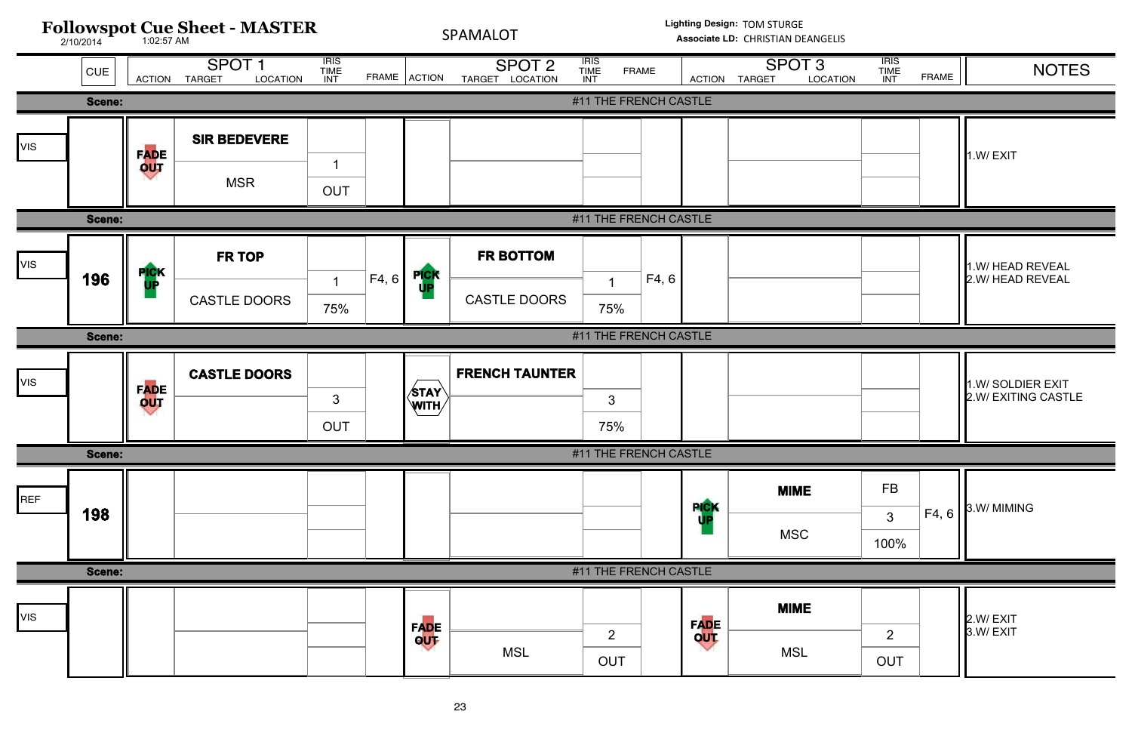![](_page_22_Figure_0.jpeg)

| <b>ATION</b> | <b>IRIS</b><br><b>TIME</b><br><b>INT</b> | <b>FRAME</b> | <b>NOTES</b>                             |
|--------------|------------------------------------------|--------------|------------------------------------------|
|              |                                          |              |                                          |
|              |                                          |              | 1.W/EXIT                                 |
|              |                                          |              |                                          |
|              |                                          |              | 1.W/ HEAD REVEAL<br>2.W/ HEAD REVEAL     |
|              |                                          |              |                                          |
|              |                                          |              | 1.W/ SOLDIER EXIT<br>2.W/ EXITING CASTLE |
|              |                                          |              |                                          |
|              | <b>FB</b><br>3<br>100%                   | F4, 6        | 3.W/ MIMING                              |
|              |                                          |              |                                          |
|              | $\overline{2}$<br><b>OUT</b>             |              | 2.W/ EXIT<br>3.W/ EXIT                   |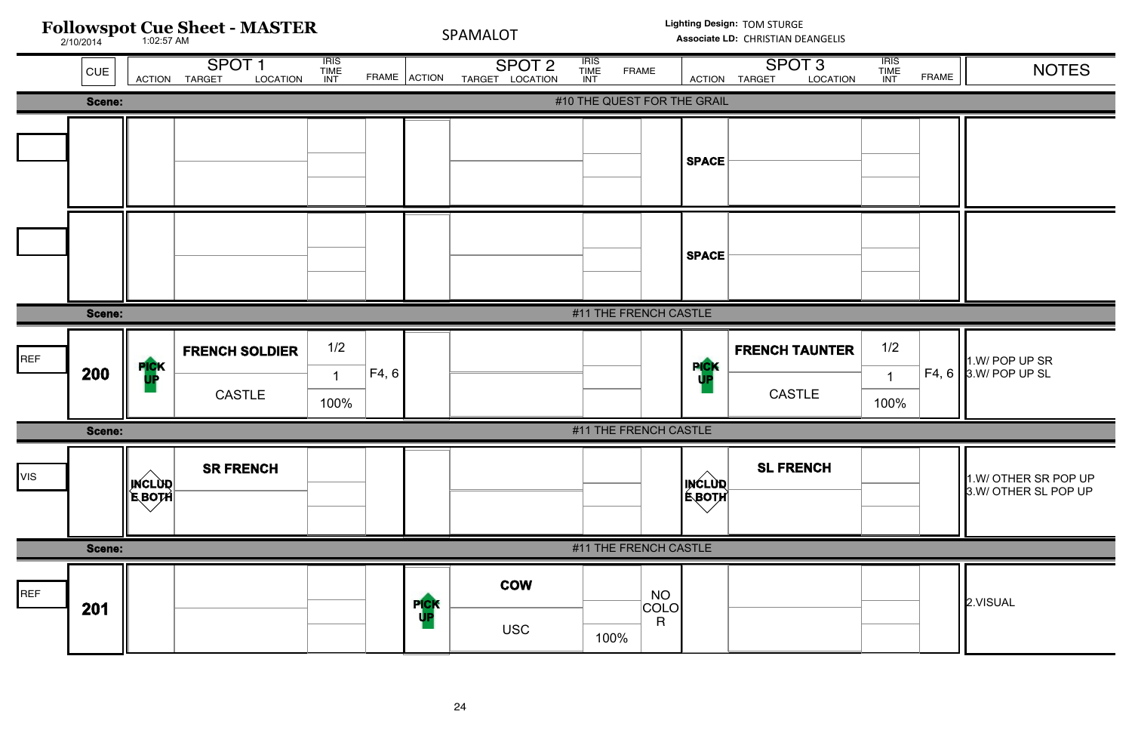![](_page_23_Figure_0.jpeg)

**Lighting Design:** TOM STURGE

Associate LD: CHRISTIAN DEANGELIS

![](_page_23_Figure_3.jpeg)

| <b>TION</b> | <b>IRIS</b><br><b>TIME</b><br>INT | <b>FRAME</b> | <b>NOTES</b>                                 |
|-------------|-----------------------------------|--------------|----------------------------------------------|
|             |                                   |              |                                              |
|             |                                   |              |                                              |
|             |                                   |              |                                              |
|             |                                   |              |                                              |
|             |                                   |              |                                              |
|             |                                   |              |                                              |
|             |                                   |              |                                              |
|             |                                   |              |                                              |
| <b>TER</b>  | 1/2                               |              |                                              |
|             | $\overline{1}$                    | F4, 6        | 1.W/ POP UP SR<br>3.W/ POP UP SL             |
|             | 100%                              |              |                                              |
|             |                                   |              |                                              |
|             |                                   |              | 1.W/ OTHER SR POP UP<br>3.W/ OTHER SL POP UP |
|             |                                   |              |                                              |
|             |                                   |              | 2.VISUAL                                     |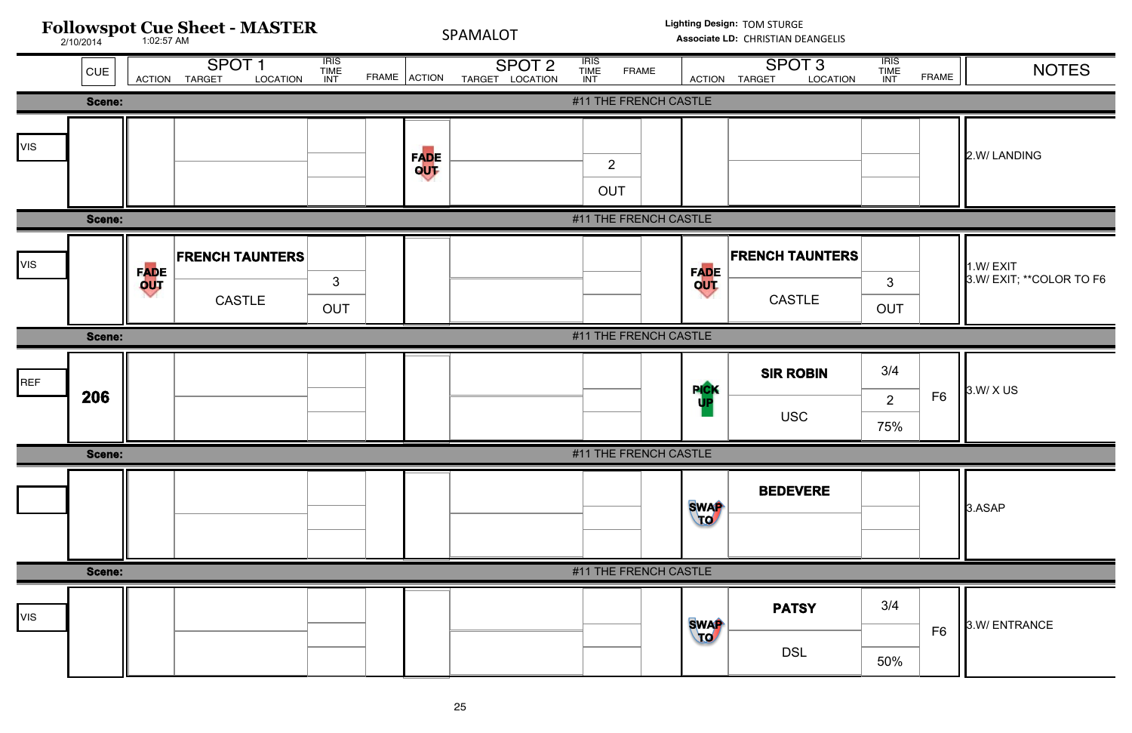![](_page_24_Figure_0.jpeg)

| <b>TION</b> | <b>IRIS</b><br><b>TIME</b><br>INT | <b>FRAME</b>   | <b>NOTES</b>                          |
|-------------|-----------------------------------|----------------|---------------------------------------|
|             |                                   |                |                                       |
|             |                                   |                | 2.W/LANDING                           |
|             |                                   |                |                                       |
| <b>ERS</b>  | 3<br><b>OUT</b>                   |                | 1.W/EXIT<br>3.W/ EXIT; ** COLOR TO F6 |
|             |                                   |                |                                       |
|             | 3/4<br>$\overline{2}$<br>75%      | F <sub>6</sub> | 3.W/ X US                             |
|             |                                   |                |                                       |
|             |                                   |                |                                       |
|             |                                   |                | 3.ASAP                                |
|             |                                   |                |                                       |
|             | 3/4                               | F <sub>6</sub> | 3.W/ENTRANCE                          |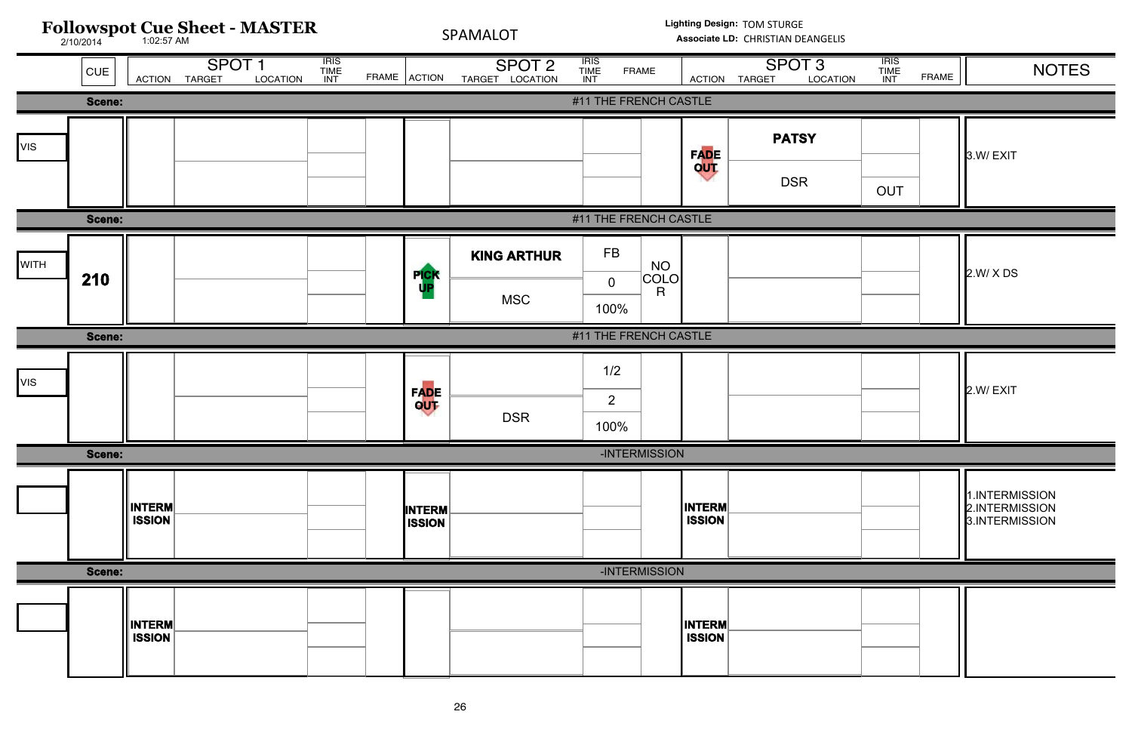![](_page_25_Figure_0.jpeg)

| <b>ATION</b> | <b>IRIS</b><br><b>TIME</b><br>INT | <b>FRAME</b> | <b>NOTES</b>                                       |
|--------------|-----------------------------------|--------------|----------------------------------------------------|
|              |                                   |              |                                                    |
|              | <b>OUT</b>                        |              | 3.W/EXIT                                           |
|              |                                   |              |                                                    |
|              |                                   |              | 2.W/ X DS                                          |
|              |                                   |              |                                                    |
|              |                                   |              | 2.W/EXIT                                           |
|              |                                   |              |                                                    |
|              |                                   |              | 1.INTERMISSION<br>2.INTERMISSION<br>3.INTERMISSION |
|              |                                   |              |                                                    |
|              |                                   |              |                                                    |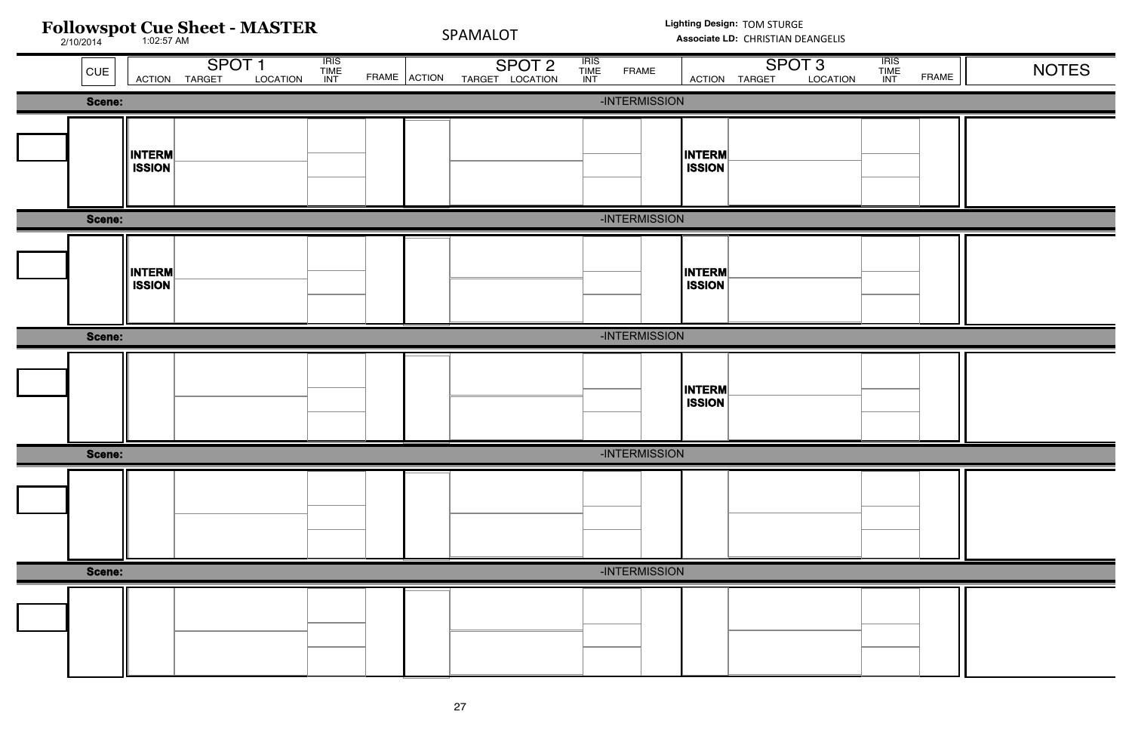| <b>TION</b> | <b>IRIS<br/>TIME<br/>INT</b> | FRAME | <b>NOTES</b> |
|-------------|------------------------------|-------|--------------|
|             |                              |       |              |
|             |                              |       |              |
|             |                              |       |              |
|             |                              |       |              |
|             |                              |       |              |
|             |                              |       |              |
|             |                              |       |              |
|             |                              |       |              |
|             |                              |       |              |
|             |                              |       |              |
|             |                              |       |              |
|             |                              |       |              |
|             |                              |       |              |
|             |                              |       |              |
|             |                              |       |              |
|             |                              |       |              |
|             |                              |       |              |
|             |                              |       |              |
|             |                              |       |              |
|             |                              |       |              |

|             |                                | <b>Followspot Cue Sheet - MASTER</b>           |                              | SPAMALOT     |                                      |                     | Lighting Design: TOM STURGE<br>Associate LD: CHRISTIAN DEANGELIS |                                |               |                               |                              |              |              |
|-------------|--------------------------------|------------------------------------------------|------------------------------|--------------|--------------------------------------|---------------------|------------------------------------------------------------------|--------------------------------|---------------|-------------------------------|------------------------------|--------------|--------------|
| $ $ CUE $ $ |                                | SPOT <sub>1</sub><br>LOCATION<br>ACTION TARGET | <b>IRIS<br/>TIME<br/>INT</b> | FRAME ACTION | SPOT <sub>2</sub><br>TARGET LOCATION | IRIS<br>TIME<br>INT | <b>FRAME</b>                                                     |                                | ACTION TARGET | SPOT <sub>3</sub><br>LOCATION | <b>IRIS<br/>TIME<br/>INT</b> | <b>FRAME</b> | <b>NOTES</b> |
| Scene:      |                                |                                                |                              |              |                                      |                     | -INTERMISSION                                                    |                                |               |                               |                              |              |              |
|             | <b>INTERM</b><br><b>ISSION</b> |                                                |                              |              |                                      |                     |                                                                  | <b>INTERM</b><br><b>ISSION</b> |               |                               |                              |              |              |
| Scene:      |                                |                                                |                              |              |                                      |                     | -INTERMISSION                                                    |                                |               |                               |                              |              |              |
|             | <b>INTERM</b><br><b>ISSION</b> |                                                |                              |              |                                      |                     |                                                                  | <b>INTERM</b><br><b>ISSION</b> |               |                               |                              |              |              |
| Scene:      |                                |                                                |                              |              |                                      |                     | -INTERMISSION                                                    |                                |               |                               |                              |              |              |
|             |                                |                                                |                              |              |                                      |                     |                                                                  | <b>INTERM</b><br><b>ISSION</b> |               |                               |                              |              |              |
| Scene:      |                                |                                                |                              |              |                                      |                     | -INTERMISSION                                                    |                                |               |                               |                              |              |              |
|             |                                |                                                |                              |              |                                      |                     |                                                                  |                                |               |                               |                              |              |              |
| Scene:      |                                |                                                |                              |              |                                      |                     | -INTERMISSION                                                    |                                |               |                               |                              |              |              |
|             |                                |                                                |                              |              |                                      |                     |                                                                  |                                |               |                               |                              |              |              |

# ELIS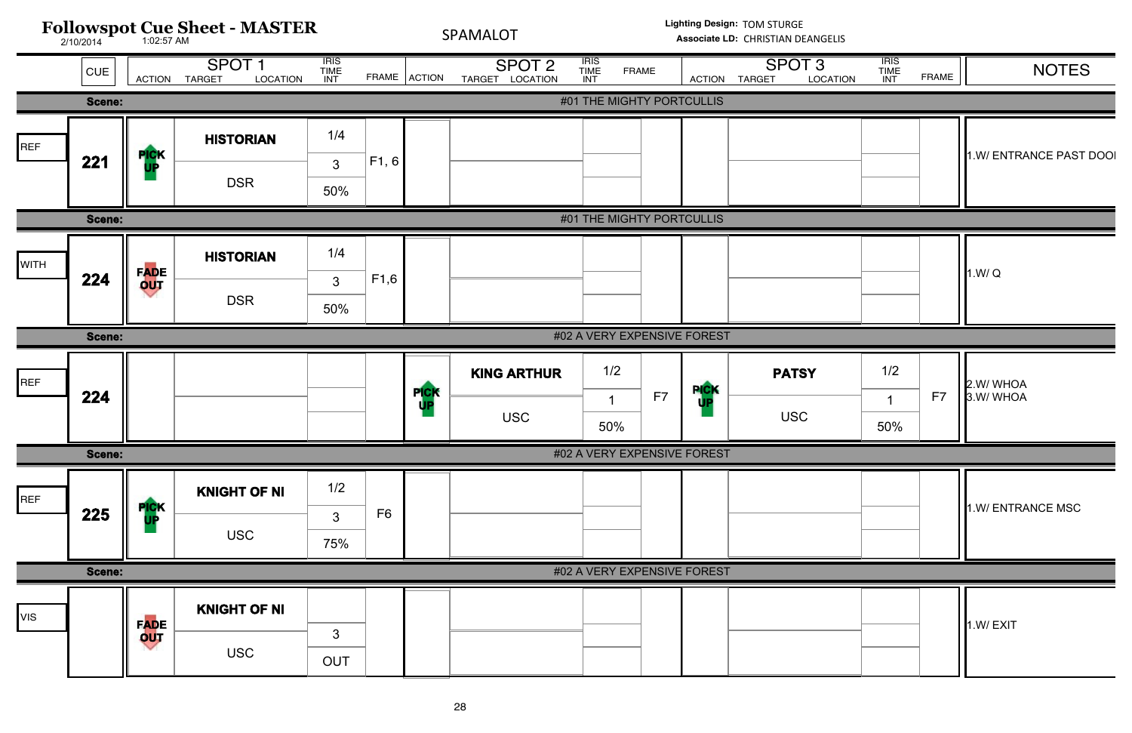![](_page_27_Figure_0.jpeg)

| <b>ATION</b> | <b>IRIS</b><br><b>TIME</b><br><b>INT</b> | <b>FRAME</b> | <b>NOTES</b>            |
|--------------|------------------------------------------|--------------|-------------------------|
|              |                                          |              |                         |
|              |                                          |              | 1.W/ ENTRANCE PAST DOOI |
|              |                                          |              |                         |
|              |                                          |              | 1.W/Q                   |
|              |                                          |              |                         |
|              | 1/2<br>1<br>50%                          | F7           | 2.W/WHOA<br>3.W/WHOA    |
|              |                                          |              |                         |
|              |                                          |              | 1.W/ ENTRANCE MSC       |
|              |                                          |              |                         |
|              |                                          |              | 1.W/EXIT                |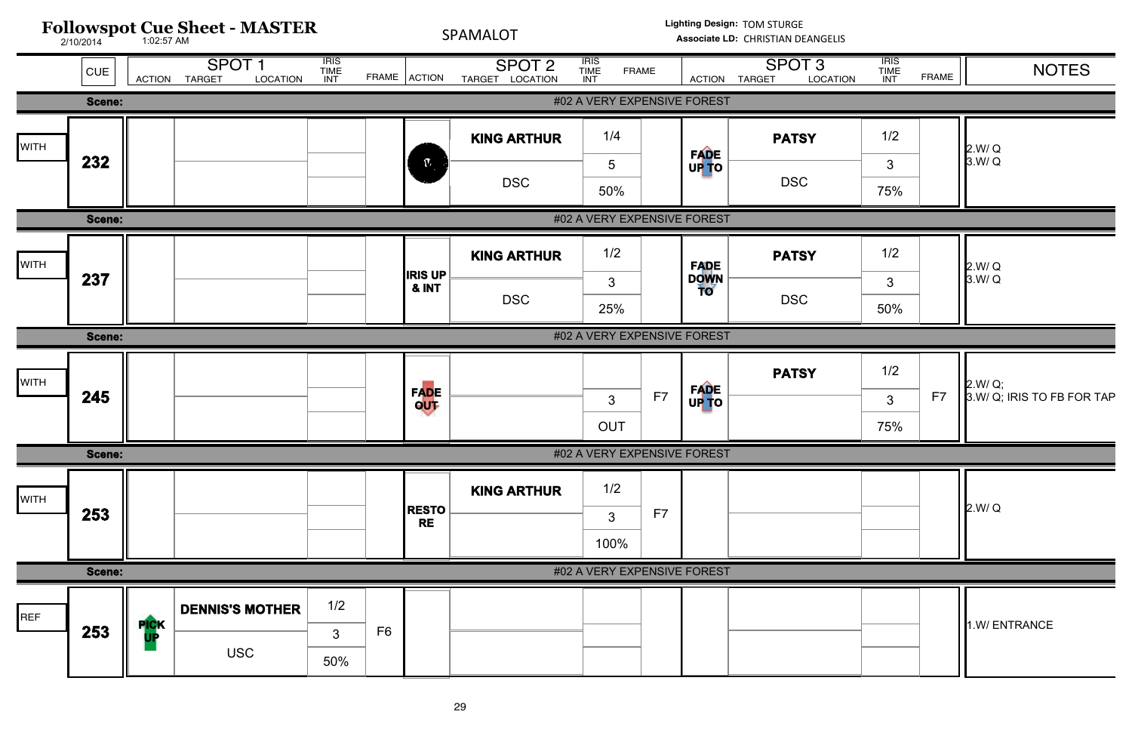| <b>ATION</b> | <b>IRIS</b><br><b>TIME</b><br>INT | <b>FRAME</b> | <b>NOTES</b>                          |
|--------------|-----------------------------------|--------------|---------------------------------------|
|              |                                   |              |                                       |
|              | 1/2                               |              |                                       |
|              | 3                                 |              | 2.W/Q<br>3.W/Q                        |
|              | 75%                               |              |                                       |
|              |                                   |              |                                       |
|              | 1/2                               |              |                                       |
|              | 3                                 |              | 2.W/Q<br>3.W/Q                        |
|              | 50%                               |              |                                       |
|              |                                   |              |                                       |
|              | 1/2                               |              |                                       |
|              | $\mathfrak{S}$                    | F7           | 2.W/ Q;<br>3.W/ Q; IRIS TO FB FOR TAP |
|              | 75%                               |              |                                       |
|              |                                   |              |                                       |
|              |                                   |              |                                       |
|              |                                   |              | 2.W/Q                                 |
|              |                                   |              |                                       |
|              |                                   |              |                                       |
|              |                                   |              |                                       |
|              |                                   |              | 1.W/ENTRANCE                          |
|              |                                   |              |                                       |
|              |                                   |              |                                       |
|              |                                   |              |                                       |

![](_page_28_Figure_0.jpeg)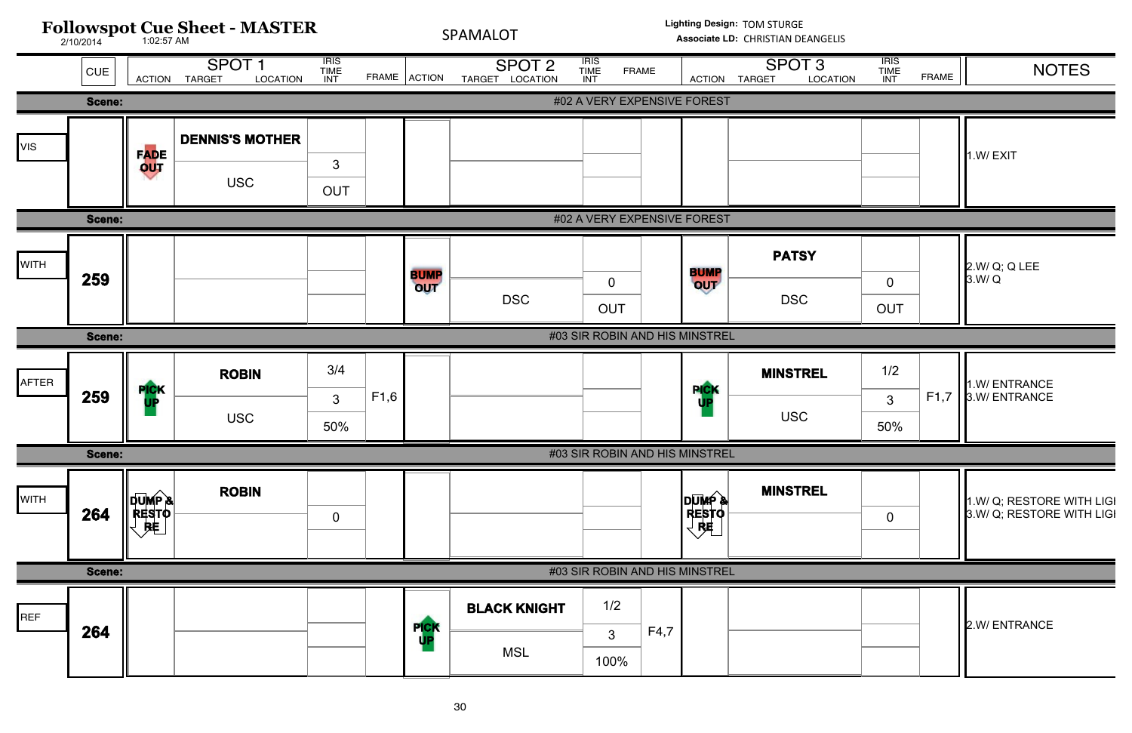| <b>ATION</b> | <b>IRIS</b><br><b>TIME</b><br>INT | <b>FRAME</b> | <b>NOTES</b>                                           |
|--------------|-----------------------------------|--------------|--------------------------------------------------------|
|              |                                   |              |                                                        |
|              |                                   |              | 1.W/EXIT                                               |
|              |                                   |              |                                                        |
|              | $\mathbf 0$<br><b>OUT</b>         |              | 2.W/ Q; Q LEE<br>3.W/Q                                 |
|              |                                   |              |                                                        |
|              | 1/2<br>3<br>50%                   | F1,7         | 1.W/ ENTRANCE<br>3.W/ ENTRANCE                         |
|              |                                   |              |                                                        |
|              | $\overline{0}$                    |              | 1.W/ Q; RESTORE WITH LIGI<br>3.W/ Q; RESTORE WITH LIGI |
|              |                                   |              |                                                        |
|              |                                   |              | 2.W/ ENTRANCE                                          |

![](_page_29_Figure_0.jpeg)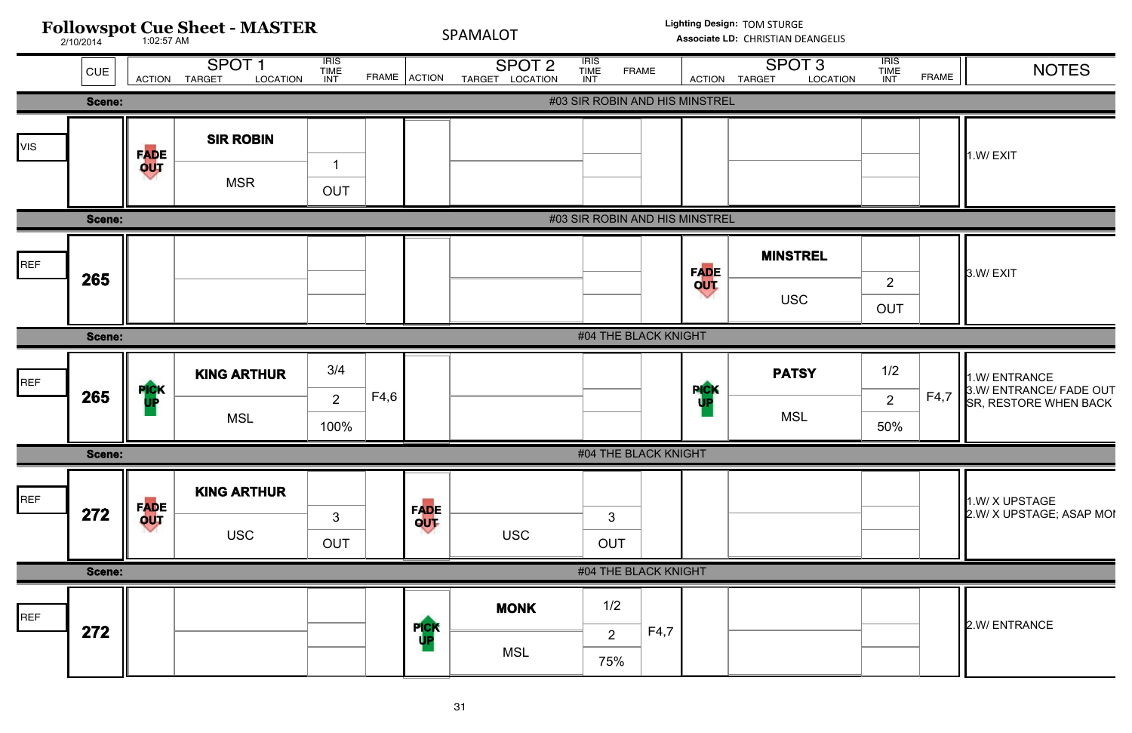![](_page_30_Figure_0.jpeg)

| <b>ATION</b> | $\overline{IRIS}$<br><b>TIME</b><br><b>INT</b> | <b>FRAME</b> | <b>NOTES</b>                                                      |
|--------------|------------------------------------------------|--------------|-------------------------------------------------------------------|
|              |                                                |              |                                                                   |
|              |                                                |              | 1.W/EXIT                                                          |
|              |                                                |              |                                                                   |
|              | 2<br><b>OUT</b>                                |              | 3.W/EXIT                                                          |
|              |                                                |              |                                                                   |
|              | 1/2<br>$\overline{2}$<br>50%                   | F4,7         | 1.W/ ENTRANCE<br>3.W/ ENTRANCE/ FADE OUT<br>SR, RESTORE WHEN BACK |
|              |                                                |              |                                                                   |
|              |                                                |              | 1.W/ X UPSTAGE<br>2.W/ X UPSTAGE; ASAP MOI                        |
|              |                                                |              |                                                                   |
|              |                                                |              | 2.W/ ENTRANCE                                                     |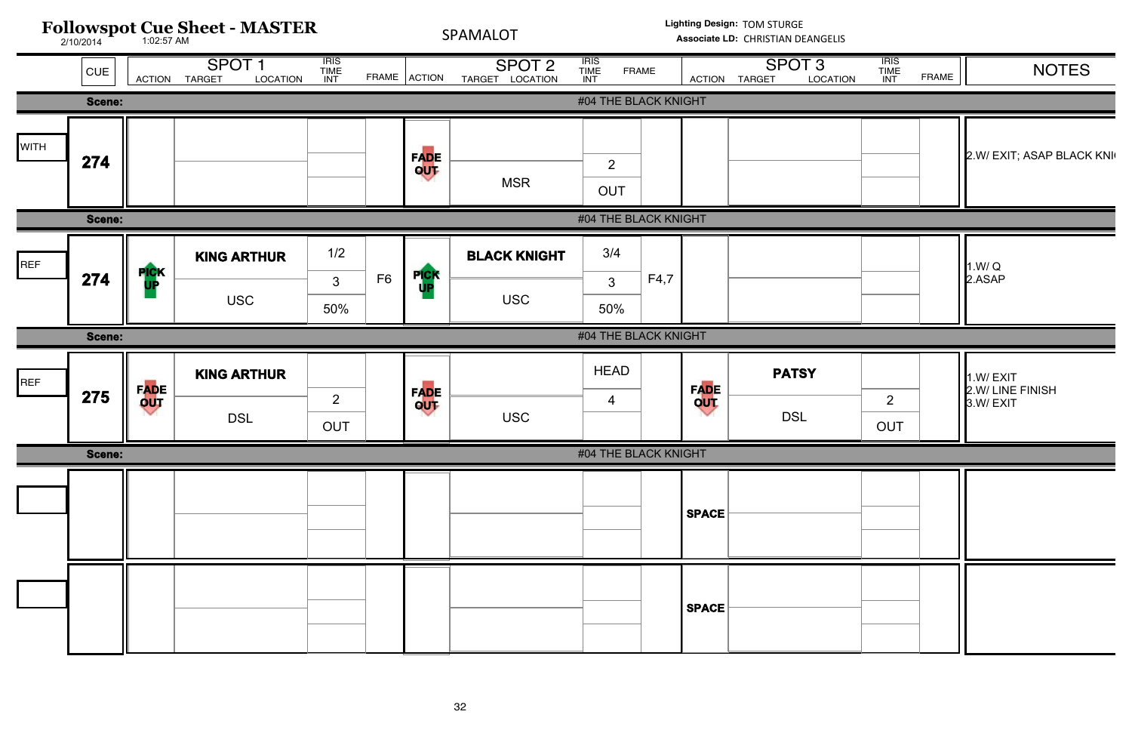![](_page_31_Figure_0.jpeg)

| <b>ATION</b> | <b>IRIS</b><br><b>TIME</b><br><b>INT</b> | <b>FRAME</b> | <b>NOTES</b>                             |
|--------------|------------------------------------------|--------------|------------------------------------------|
|              |                                          |              |                                          |
|              |                                          |              | 2.W/ EXIT; ASAP BLACK KNI                |
|              |                                          |              |                                          |
|              |                                          |              | 1.W/Q<br>2.ASAP                          |
|              |                                          |              |                                          |
|              | $\overline{2}$<br><b>OUT</b>             |              | 1.W/EXIT<br>2.W/ LINE FINISH<br>3.W/EXIT |
|              |                                          |              |                                          |
|              |                                          |              |                                          |
|              |                                          |              |                                          |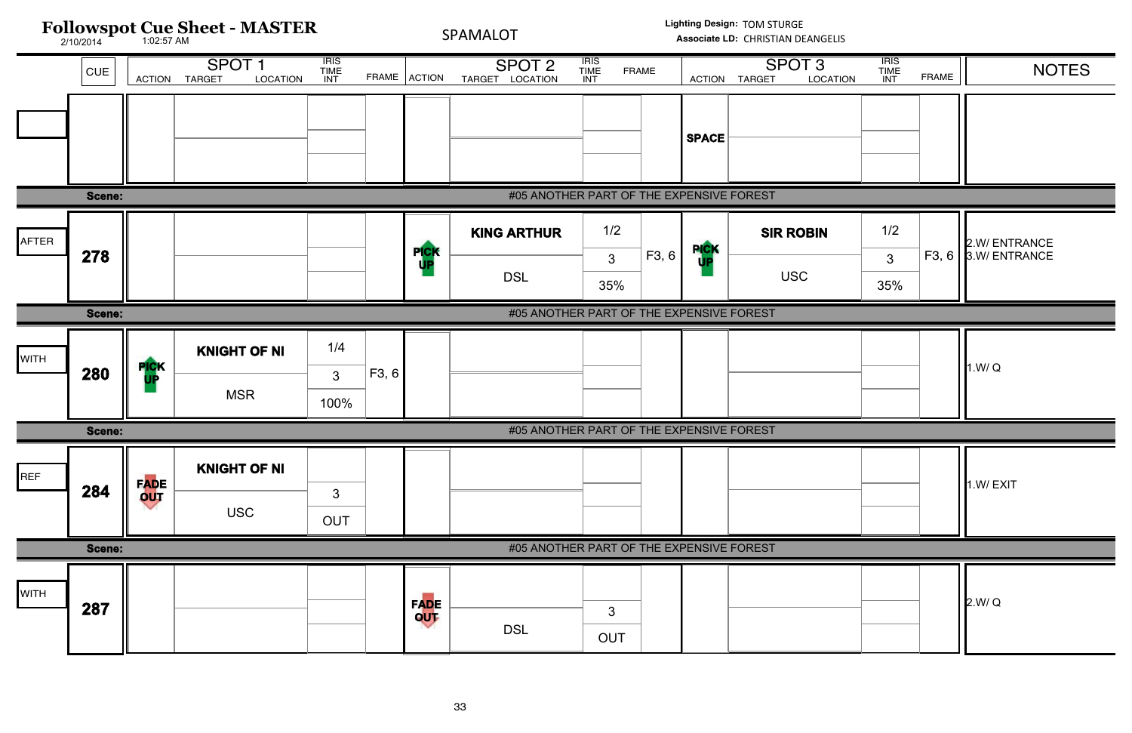| <b>NOITA</b> | <b>TRIS<br/>TIME<br/>INT</b> | <b>FRAME</b> | <b>NOTES</b>                   |
|--------------|------------------------------|--------------|--------------------------------|
|              |                              |              |                                |
|              |                              |              |                                |
|              |                              |              |                                |
|              | 1/2                          |              |                                |
|              | 3                            | F3, 6        | 2.W/ ENTRANCE<br>3.W/ ENTRANCE |
|              | 35%                          |              |                                |
|              |                              |              |                                |
|              |                              |              | 1.W/Q                          |
|              |                              |              |                                |
|              |                              |              | 1.W/EXIT                       |
|              |                              |              |                                |
|              |                              |              | 2.W/Q                          |

![](_page_32_Figure_0.jpeg)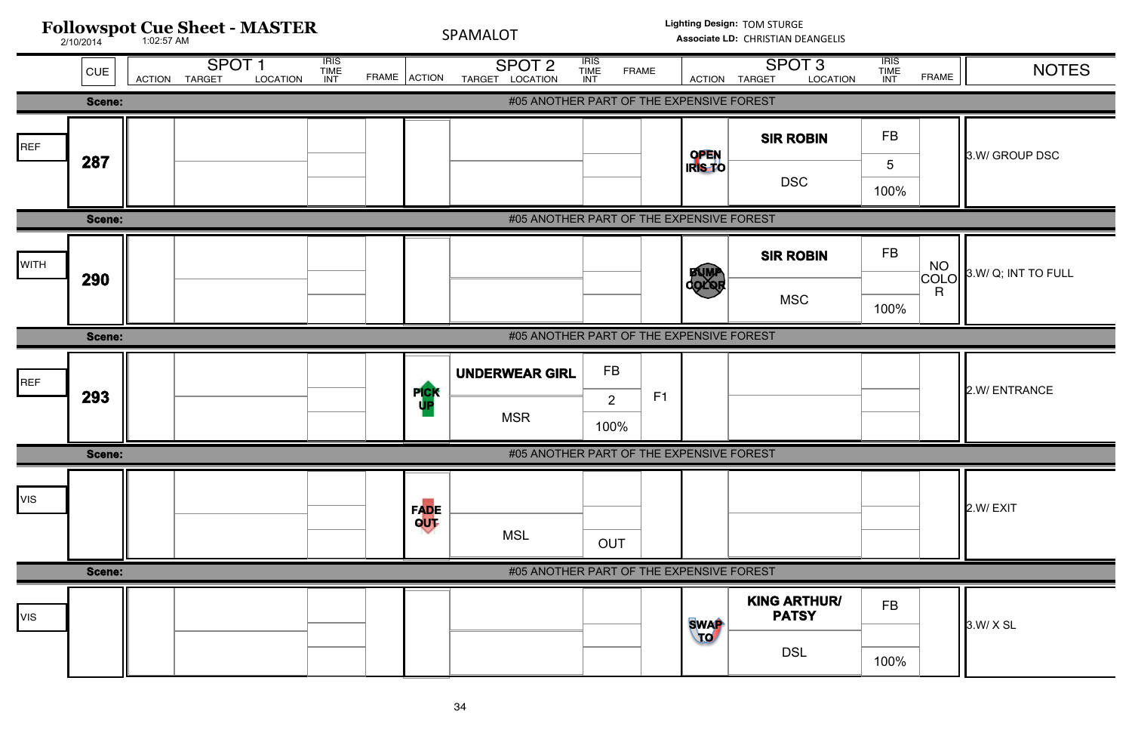![](_page_33_Figure_0.jpeg)

| <b>ATION</b> | <b>IRIS</b><br><b>TIME</b><br>INT | <b>FRAME</b>    | <b>NOTES</b>        |
|--------------|-----------------------------------|-----------------|---------------------|
|              |                                   |                 |                     |
|              | <b>FB</b>                         |                 |                     |
|              | $\overline{5}$                    |                 | 3.W/ GROUP DSC      |
|              | 100%                              |                 |                     |
|              |                                   |                 |                     |
|              | <b>FB</b>                         |                 | 3.W/ Q; INT TO FULL |
|              | 100%                              | NO<br>COLO<br>R |                     |
|              |                                   |                 |                     |
|              |                                   |                 | 2.W/ ENTRANCE       |
|              |                                   |                 |                     |
|              |                                   |                 | 2.W/EXIT            |
|              |                                   |                 |                     |
| R/           | <b>FB</b>                         |                 |                     |
|              |                                   |                 | 3.W/ X SL           |
|              | 100%                              |                 |                     |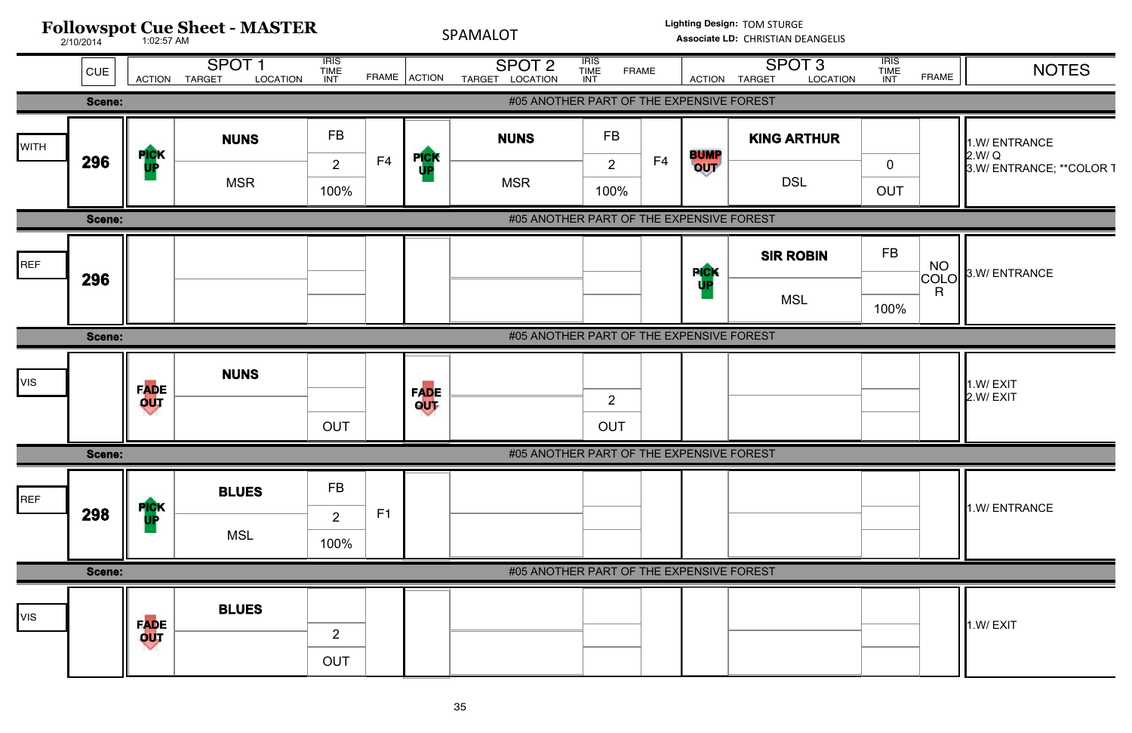![](_page_34_Figure_0.jpeg)

| <b>ATION</b> | <b>IRIS</b><br>TIME<br>INT | <b>FRAME</b>           | <b>NOTES</b>                                      |
|--------------|----------------------------|------------------------|---------------------------------------------------|
|              |                            |                        |                                                   |
| R            | $\mathbf 0$<br><b>OUT</b>  |                        | 1.W/ENTRANCE<br>2.W/Q<br>3.W/ ENTRANCE; **COLOR T |
|              |                            |                        |                                                   |
|              | <b>FB</b>                  | <b>NO</b><br>COLO<br>R | 3.W/ENTRANCE                                      |
|              | 100%                       |                        |                                                   |
|              |                            |                        |                                                   |
|              |                            |                        | 1.W/EXIT<br>2.W/EXIT                              |
|              |                            |                        |                                                   |
|              |                            |                        | 1.W/ ENTRANCE                                     |
|              |                            |                        |                                                   |
|              |                            |                        | 1.W/EXIT                                          |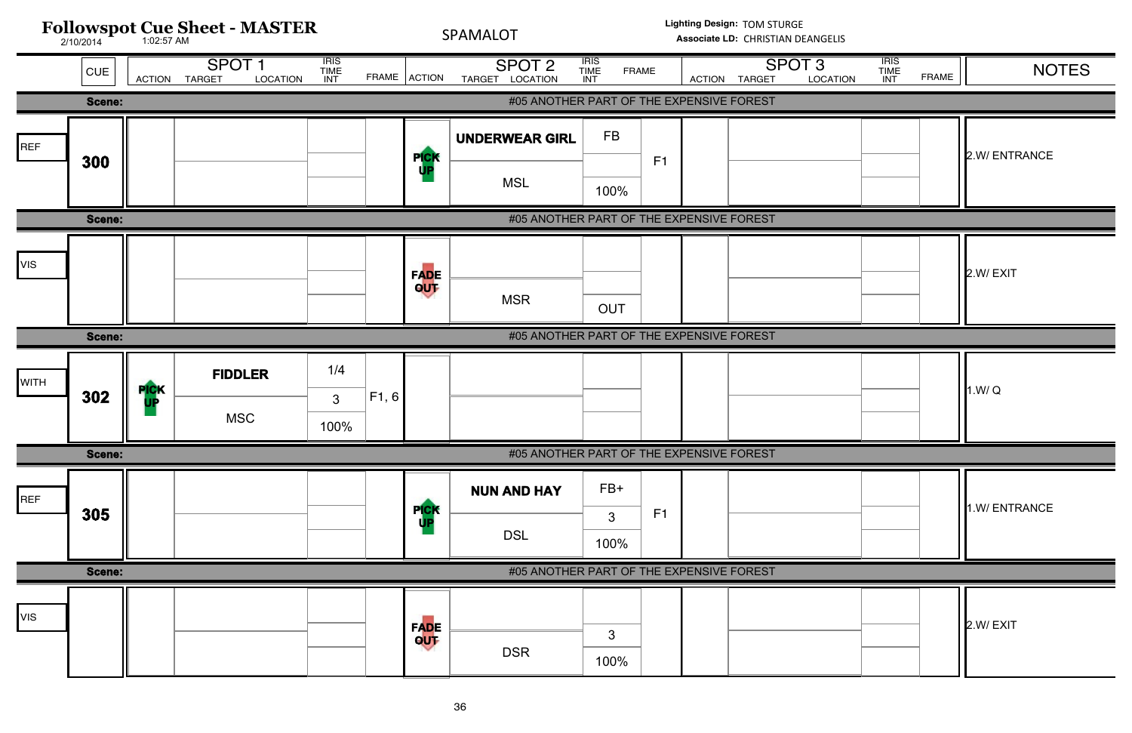![](_page_35_Figure_0.jpeg)

| <b>ATION</b> | <b>IRIS</b><br><b>TIME</b><br>INT | <b>FRAME</b> | <b>NOTES</b> |
|--------------|-----------------------------------|--------------|--------------|
|              |                                   |              |              |
|              |                                   |              | 2.W/ENTRANCE |
|              |                                   |              |              |
|              |                                   |              | 2.W/EXIT     |
|              |                                   |              |              |
|              |                                   |              | 1.W/Q        |
|              |                                   |              |              |
|              |                                   |              | 1.W/ENTRANCE |
|              |                                   |              |              |
|              |                                   |              | 2.W/EXIT     |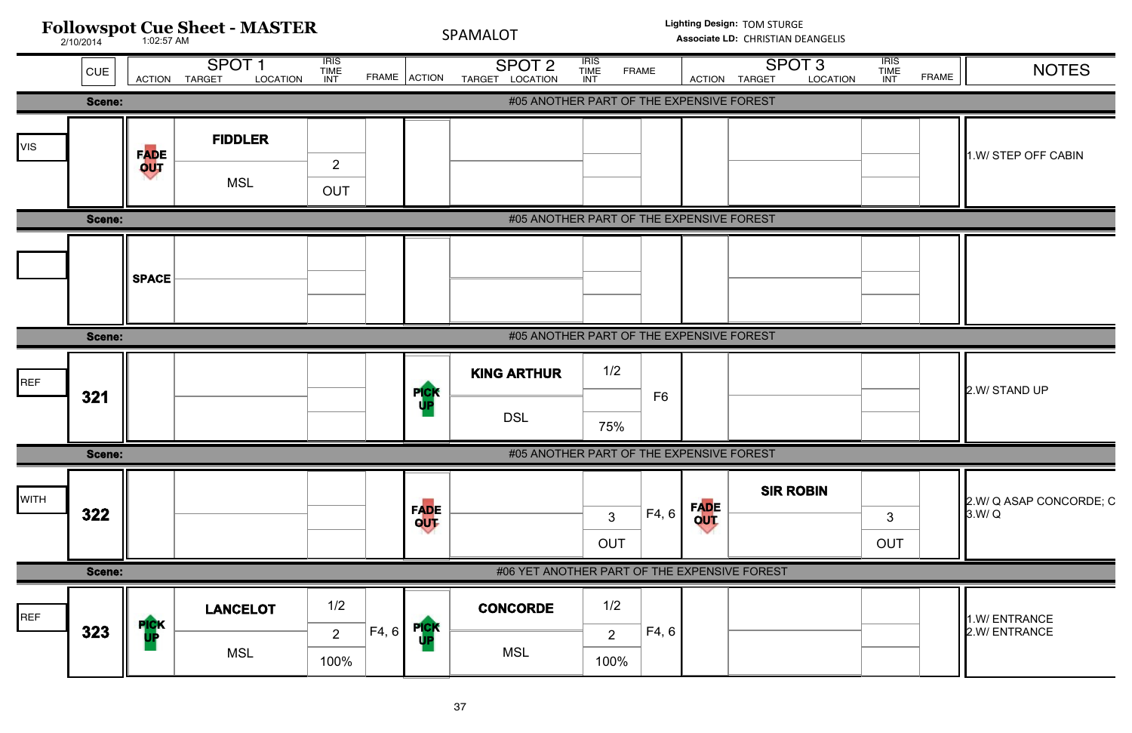![](_page_36_Figure_0.jpeg)

| <b>ATION</b> | <b>IRIS</b><br><b>TIME</b><br>INT | <b>FRAME</b> | <b>NOTES</b>                     |
|--------------|-----------------------------------|--------------|----------------------------------|
|              |                                   |              |                                  |
|              |                                   |              | 1.W/ STEP OFF CABIN              |
|              |                                   |              |                                  |
|              |                                   |              |                                  |
|              |                                   |              |                                  |
|              |                                   |              | 2.W/ STAND UP                    |
|              |                                   |              |                                  |
|              | $\mathfrak{S}$<br><b>OUT</b>      |              | 2.W/ Q ASAP CONCORDE; C<br>3.W/Q |
|              |                                   |              |                                  |
|              |                                   |              | 1.W/ENTRANCE<br>2.W/ ENTRANCE    |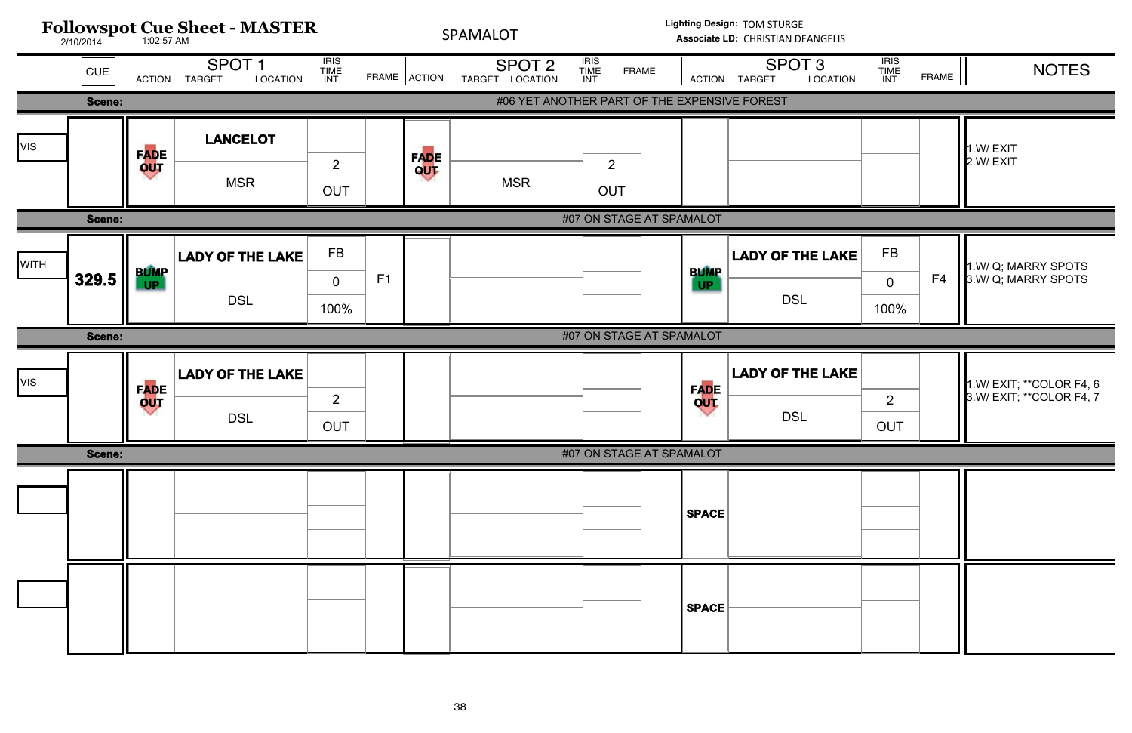![](_page_37_Figure_0.jpeg)

| <b>TION</b> | <b>IRIS</b><br><b>TIME</b><br><b>INT</b> | <b>FRAME</b> | <b>NOTES</b>                                         |
|-------------|------------------------------------------|--------------|------------------------------------------------------|
|             |                                          |              |                                                      |
|             |                                          |              | 1.W/EXIT<br>2.W/EXIT                                 |
|             |                                          |              |                                                      |
| AKE         | <b>FB</b><br>0<br>100%                   | F4           | 1.W/ Q; MARRY SPOTS<br>3.W/ Q; MARRY SPOTS           |
|             |                                          |              |                                                      |
| AKE         | $\overline{2}$<br><b>OUT</b>             |              | 1.W/ EXIT; **COLOR F4, 6<br>3.W/ EXIT; **COLOR F4, 7 |
|             |                                          |              |                                                      |
|             |                                          |              |                                                      |
|             |                                          |              |                                                      |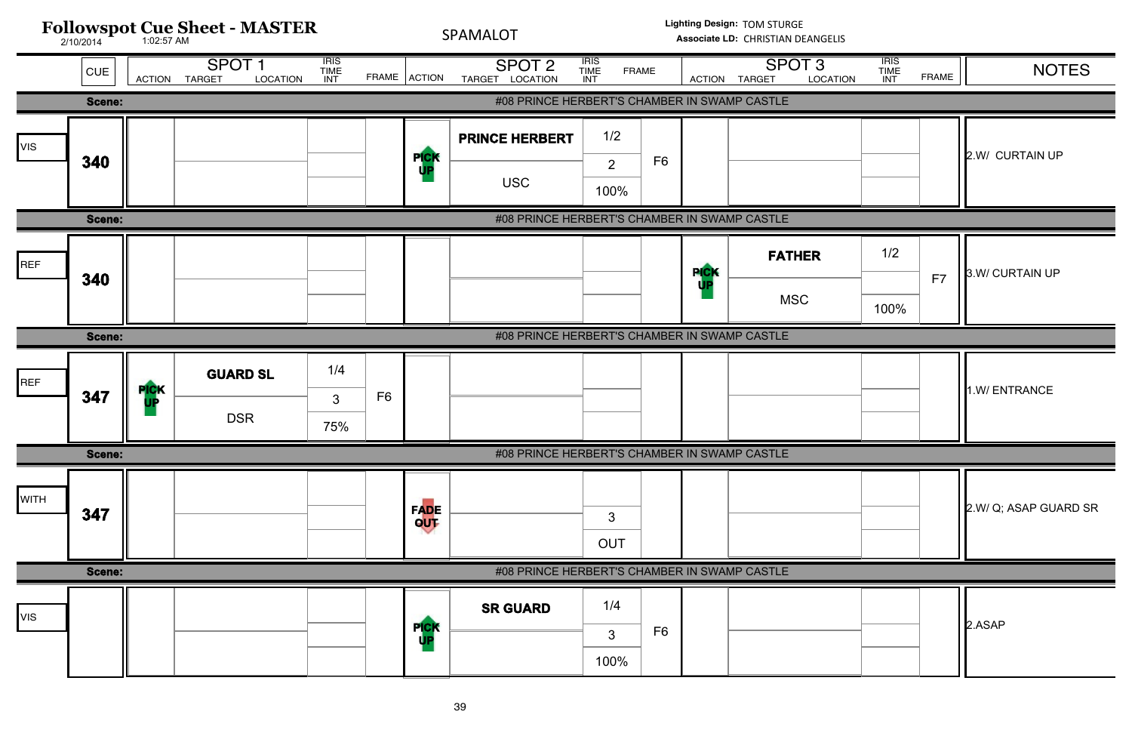| <b>ATION</b> | <b>IRIS</b><br><b>TIME</b><br>INT | <b>FRAME</b> | <b>NOTES</b>          |
|--------------|-----------------------------------|--------------|-----------------------|
|              |                                   |              |                       |
|              |                                   |              | 2.W/ CURTAIN UP       |
|              |                                   |              |                       |
|              | 1/2                               | F7           | 3.W/ CURTAIN UP       |
|              | 100%                              |              |                       |
|              |                                   |              |                       |
|              |                                   |              | 1.W/ ENTRANCE         |
|              |                                   |              |                       |
|              |                                   |              | 2.W/ Q; ASAP GUARD SR |
|              |                                   |              |                       |
|              |                                   |              | 2.ASAP                |

![](_page_38_Figure_0.jpeg)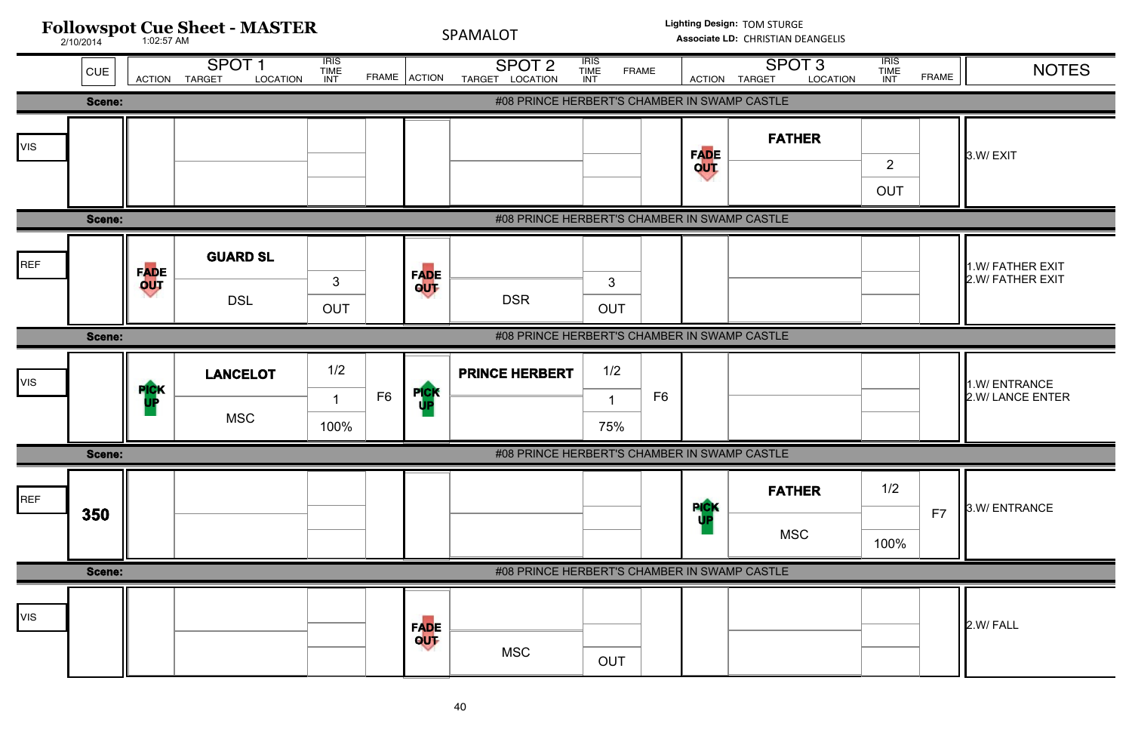![](_page_39_Figure_0.jpeg)

| <b>ATION</b> | <b>IRIS</b><br><b>TIME</b><br><b>INT</b> | <b>FRAME</b> | <b>NOTES</b>                         |
|--------------|------------------------------------------|--------------|--------------------------------------|
|              |                                          |              |                                      |
|              |                                          |              | 3.W/EXIT                             |
|              | 2<br><b>OUT</b>                          |              |                                      |
|              |                                          |              |                                      |
|              |                                          |              | 1.W/ FATHER EXIT<br>2.W/ FATHER EXIT |
|              |                                          |              |                                      |
|              |                                          |              | 1.W/ENTRANCE<br>2.W/ LANCE ENTER     |
|              |                                          |              |                                      |
|              | 1/2                                      | F7           | 3.W/ENTRANCE                         |
|              | 100%                                     |              |                                      |
|              |                                          |              |                                      |
|              |                                          |              | 2.W/ FALL                            |
|              |                                          |              |                                      |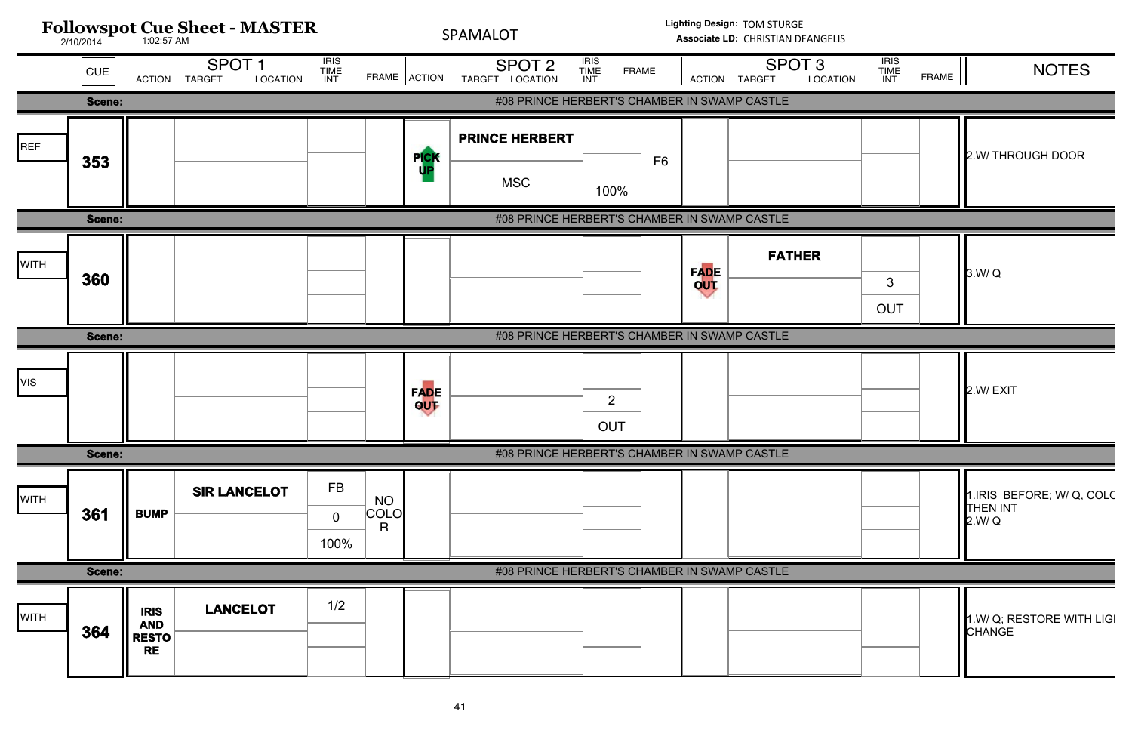![](_page_40_Figure_0.jpeg)

| <b>ATION</b> | <b>IRIS</b><br>TIME<br>INT | <b>FRAME</b> | <b>NOTES</b>                                           |
|--------------|----------------------------|--------------|--------------------------------------------------------|
|              |                            |              |                                                        |
|              |                            |              | 2.W/ THROUGH DOOR                                      |
|              |                            |              |                                                        |
|              | 3<br><b>OUT</b>            |              | 3.W/Q                                                  |
|              |                            |              |                                                        |
|              |                            |              | 2.W/EXIT                                               |
|              |                            |              |                                                        |
|              |                            |              | 1. IRIS BEFORE; W/ Q, COLC<br><b>THEN INT</b><br>2.W/Q |
|              |                            |              |                                                        |
|              |                            |              | 1.W/ Q; RESTORE WITH LIGI<br><b>CHANGE</b>             |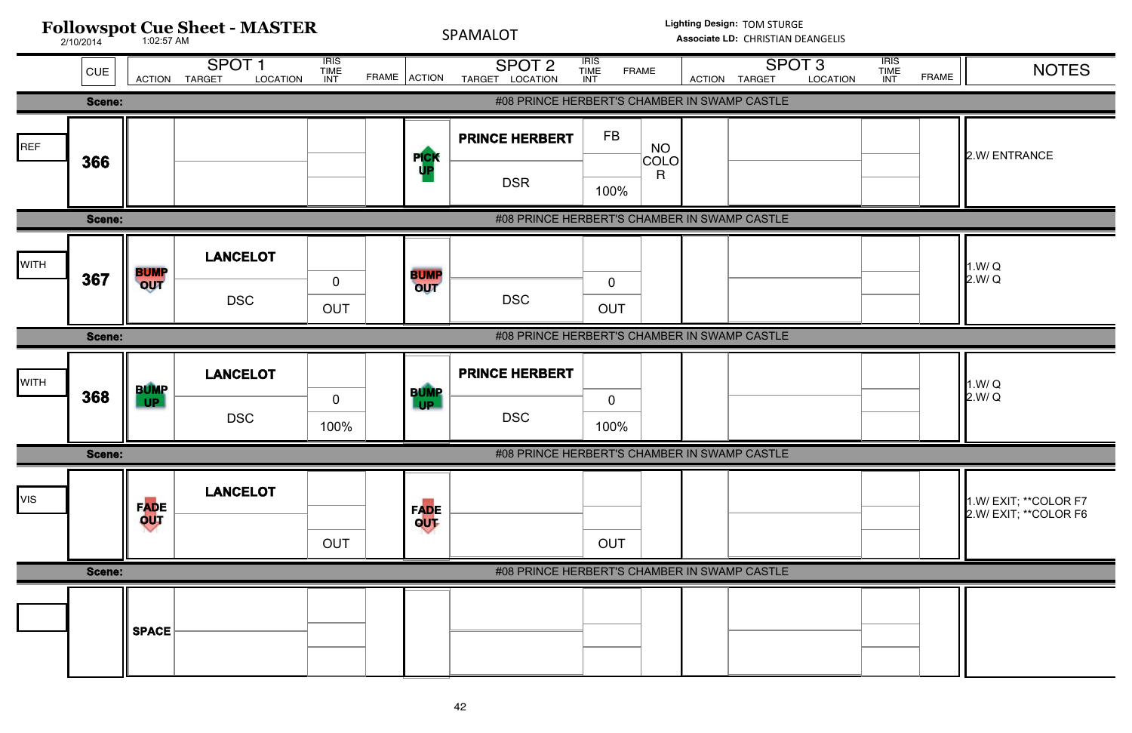![](_page_41_Figure_0.jpeg)

| <b>ATION</b> | <b>IRIS</b><br><b>TIME</b><br><b>INT</b> | <b>FRAME</b> | <b>NOTES</b>                                   |
|--------------|------------------------------------------|--------------|------------------------------------------------|
|              |                                          |              |                                                |
|              |                                          |              | 2.W/ENTRANCE                                   |
|              |                                          |              |                                                |
|              |                                          |              | 1.W/Q<br>2.W/Q                                 |
|              |                                          |              |                                                |
|              |                                          |              | 1.W/Q<br>2.W/Q                                 |
|              |                                          |              |                                                |
|              |                                          |              | 1.W/ EXIT; **COLOR F7<br>2.W/ EXIT; **COLOR F6 |
|              |                                          |              |                                                |
|              |                                          |              |                                                |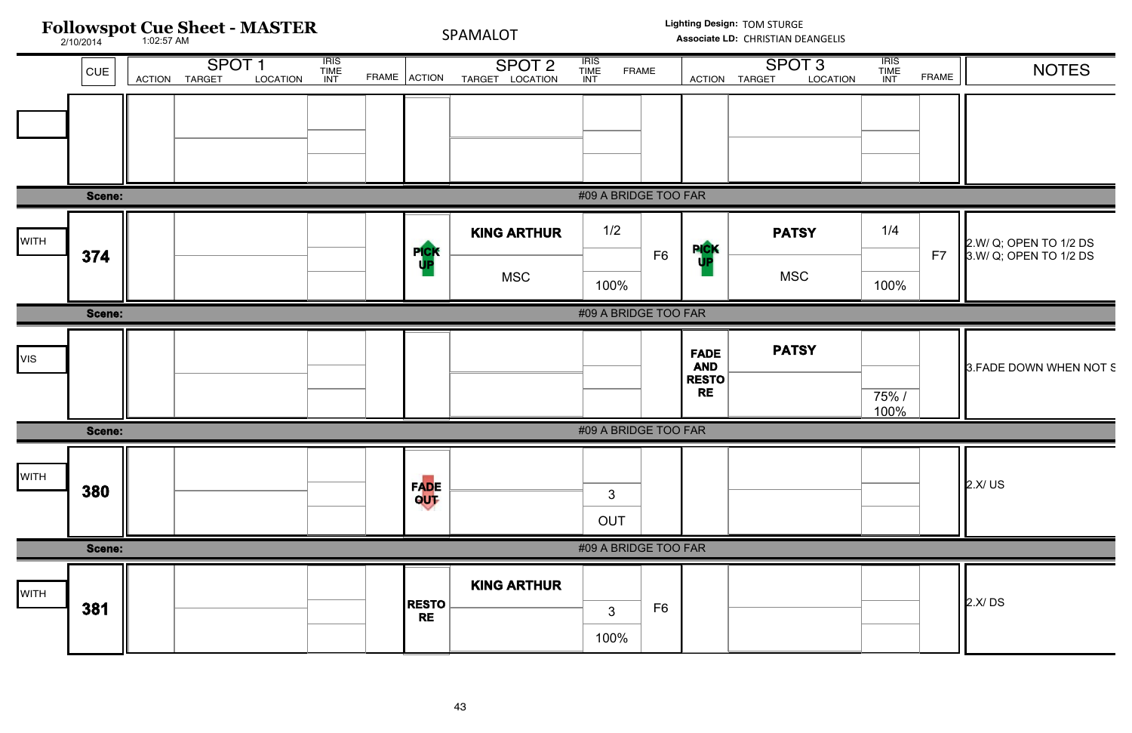| <b>ATION</b> | <b>IRIS</b><br><b>TIME</b><br>INT | <b>FRAME</b> | <b>NOTES</b>                                     |
|--------------|-----------------------------------|--------------|--------------------------------------------------|
|              |                                   |              |                                                  |
|              |                                   |              |                                                  |
|              | 1/4                               | F7           | 2.W/ Q; OPEN TO 1/2 DS<br>3.W/ Q; OPEN TO 1/2 DS |
|              | 100%                              |              |                                                  |
|              |                                   |              |                                                  |
|              | 75%/<br>100%                      |              | 3. FADE DOWN WHEN NOT S                          |
|              |                                   |              |                                                  |
|              |                                   |              | 2.X/US                                           |
|              |                                   |              |                                                  |
|              |                                   |              | 2.X/DS                                           |
|              |                                   |              |                                                  |

![](_page_42_Figure_0.jpeg)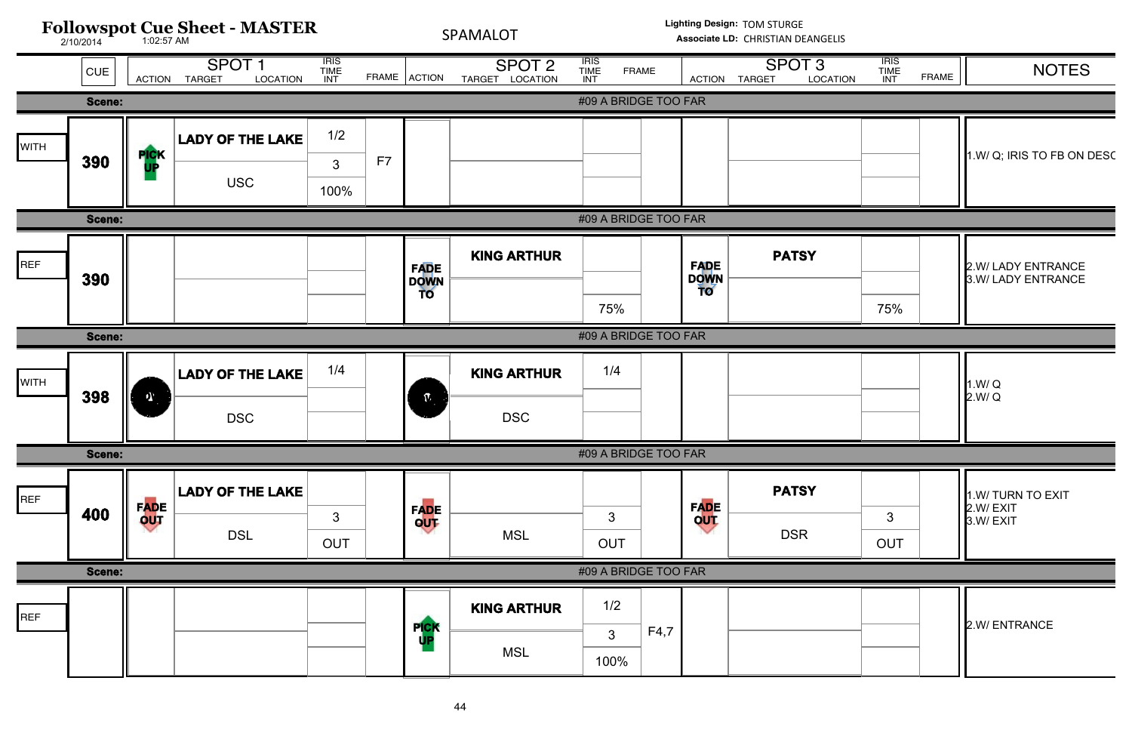![](_page_43_Figure_0.jpeg)

| <b>ATION</b> | <b>IRIS</b><br><b>TIME</b><br><b>INT</b> | <b>FRAME</b> | <b>NOTES</b>                              |
|--------------|------------------------------------------|--------------|-------------------------------------------|
|              |                                          |              |                                           |
|              |                                          |              | 1.W/ Q; IRIS TO FB ON DESC                |
|              |                                          |              |                                           |
|              | 75%                                      |              | 2.W/ LADY ENTRANCE<br>3.W/ LADY ENTRANCE  |
|              |                                          |              |                                           |
|              |                                          |              | 1.W/Q<br>2.W/Q                            |
|              |                                          |              |                                           |
|              | 3<br><b>OUT</b>                          |              | 1.W/ TURN TO EXIT<br>2.W/EXIT<br>3.W/EXIT |
|              |                                          |              |                                           |
|              |                                          |              | 2.W/ ENTRANCE                             |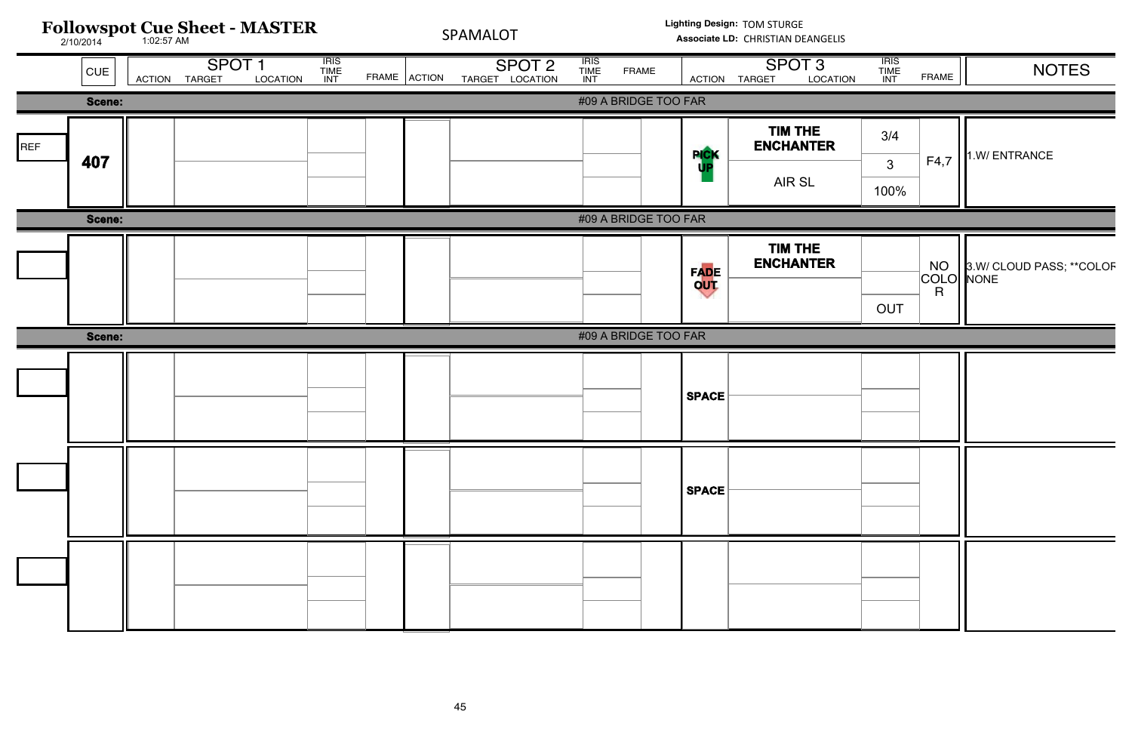|     |        | Followspot Cue Sheet - MASTER      |                                          | SPAMALOT     |                                      |                              | Lighting Design: TOM STURGE<br>Associate LD: CHRISTIAN DEANGELIS |                     |                                                |                              |                           |                               |
|-----|--------|------------------------------------|------------------------------------------|--------------|--------------------------------------|------------------------------|------------------------------------------------------------------|---------------------|------------------------------------------------|------------------------------|---------------------------|-------------------------------|
|     | CUE    | SPOT <sub>1</sub><br>ACTION TARGET | <b>IRIS<br/>TIME<br/>INT</b><br>LOCATION | FRAME ACTION | SPOT <sub>2</sub><br>TARGET LOCATION | <b>IRIS<br/>TIME<br/>INT</b> | <b>FRAME</b>                                                     |                     | SPOT <sub>3</sub><br>LOCATION<br>ACTION TARGET | <b>IRIS<br/>TIME<br/>INT</b> | <b>FRAME</b>              | <b>NOTES</b>                  |
|     | Scene: |                                    |                                          |              |                                      |                              | #09 A BRIDGE TOO FAR                                             |                     |                                                |                              |                           |                               |
| REF | 407    |                                    |                                          |              |                                      |                              |                                                                  | <b>PICK</b>         | TIM THE<br><b>ENCHANTER</b>                    | 3/4                          | F4,7                      | 1.W/ ENTRANCE                 |
|     |        |                                    |                                          |              |                                      |                              |                                                                  |                     | AIR SL                                         | 3 <sup>1</sup><br>100%       |                           |                               |
|     | Scene: |                                    |                                          |              |                                      |                              | #09 A BRIDGE TOO FAR                                             |                     |                                                |                              |                           |                               |
|     |        |                                    |                                          |              |                                      |                              |                                                                  | <b>FADE<br/>OUT</b> | TIM THE<br><b>ENCHANTER</b>                    | OUT                          | COLO NONE<br>$\mathsf{R}$ | NO   3.W/ CLOUD PASS; **COLOF |
|     | Scene: |                                    |                                          |              |                                      |                              | #09 A BRIDGE TOO FAR                                             |                     |                                                |                              |                           |                               |
|     |        |                                    |                                          |              |                                      |                              |                                                                  | <b>SPACE</b>        |                                                |                              |                           |                               |
|     |        |                                    |                                          |              |                                      |                              |                                                                  | <b>SPACE</b>        |                                                |                              |                           |                               |
|     |        |                                    |                                          |              |                                      |                              |                                                                  |                     |                                                |                              |                           |                               |

| TION | <b>TRIS<br/>TIME<br/>INT</b> | <b>FRAME</b>           | <b>NOTES</b>                             |
|------|------------------------------|------------------------|------------------------------------------|
|      |                              |                        |                                          |
| l    | 3/4                          |                        |                                          |
|      | 3                            | F4,7                   | 1.W/ ENTRANCE                            |
|      | 100%                         |                        |                                          |
|      |                              |                        |                                          |
| l    |                              | <b>NO</b><br>COLO<br>R | 3.W/ CLOUD PASS; ** COLOF<br><b>NONE</b> |
|      | <b>OUT</b>                   |                        |                                          |
|      |                              |                        |                                          |
|      |                              |                        |                                          |
|      |                              |                        |                                          |
|      |                              |                        |                                          |
|      |                              |                        |                                          |
|      |                              |                        |                                          |
|      |                              |                        |                                          |
|      |                              |                        |                                          |
|      |                              |                        |                                          |
|      |                              |                        |                                          |

# ELIS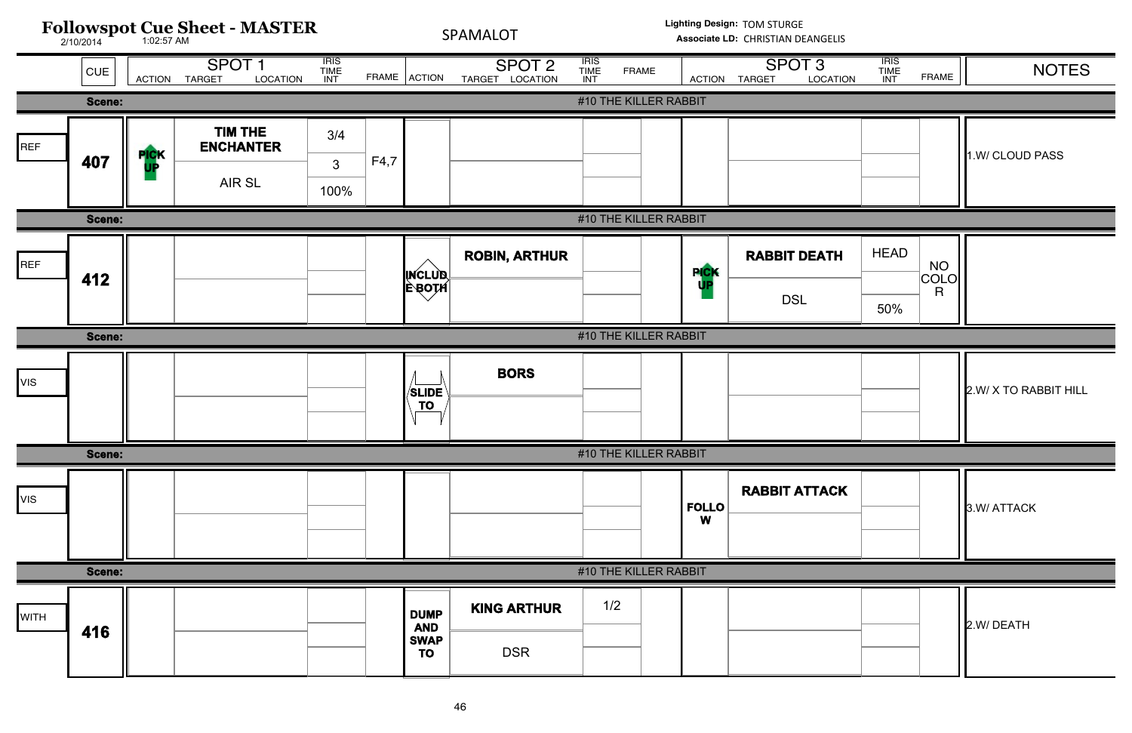![](_page_45_Figure_0.jpeg)

| <b>TION</b> | <b>IRIS</b><br><b>TIME</b><br>INT | <b>FRAME</b>    | <b>NOTES</b>          |
|-------------|-----------------------------------|-----------------|-----------------------|
|             |                                   |                 |                       |
|             |                                   |                 | 1.W/ CLOUD PASS       |
|             |                                   |                 |                       |
| Ή           | <b>HEAD</b>                       | NO<br>COLO<br>R |                       |
|             | 50%                               |                 |                       |
|             |                                   |                 |                       |
|             |                                   |                 | 2.W/ X TO RABBIT HILL |
|             |                                   |                 |                       |
| CK          |                                   |                 | 3.W/ ATTACK           |
|             |                                   |                 |                       |
|             |                                   |                 | 2.W/DEATH             |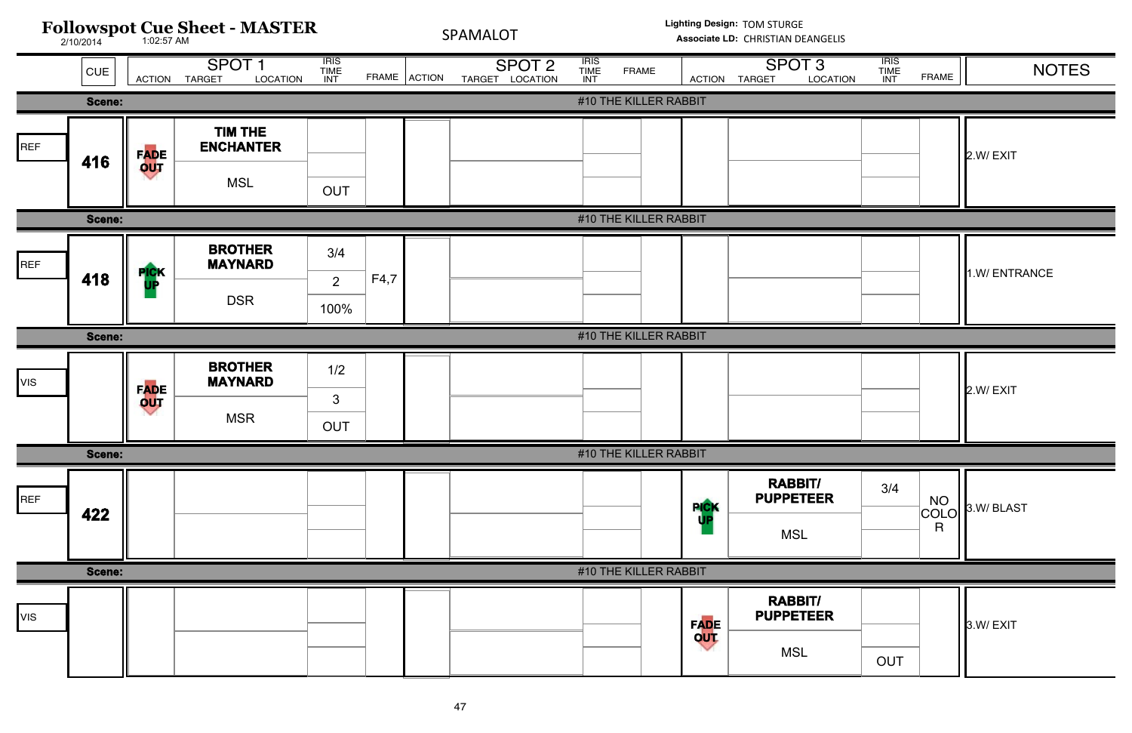![](_page_46_Figure_0.jpeg)

| <b>ATION</b> | <b>IRIS</b><br><b>TIME</b><br>INT | <b>FRAME</b>                                                                          | <b>NOTES</b> |
|--------------|-----------------------------------|---------------------------------------------------------------------------------------|--------------|
|              |                                   |                                                                                       |              |
|              |                                   |                                                                                       | 2.W/EXIT     |
|              |                                   |                                                                                       | 1.W/ENTRANCE |
|              |                                   |                                                                                       |              |
|              |                                   |                                                                                       | 2.W/EXIT     |
|              |                                   |                                                                                       |              |
|              | 3/4                               | $\begin{array}{c} \begin{array}{c} \text{NO} \\ \text{COLO,} \end{array} \end{array}$ | 3.W/BLAST    |
|              |                                   |                                                                                       |              |
|              | <b>OUT</b>                        |                                                                                       | 3.W/EXIT     |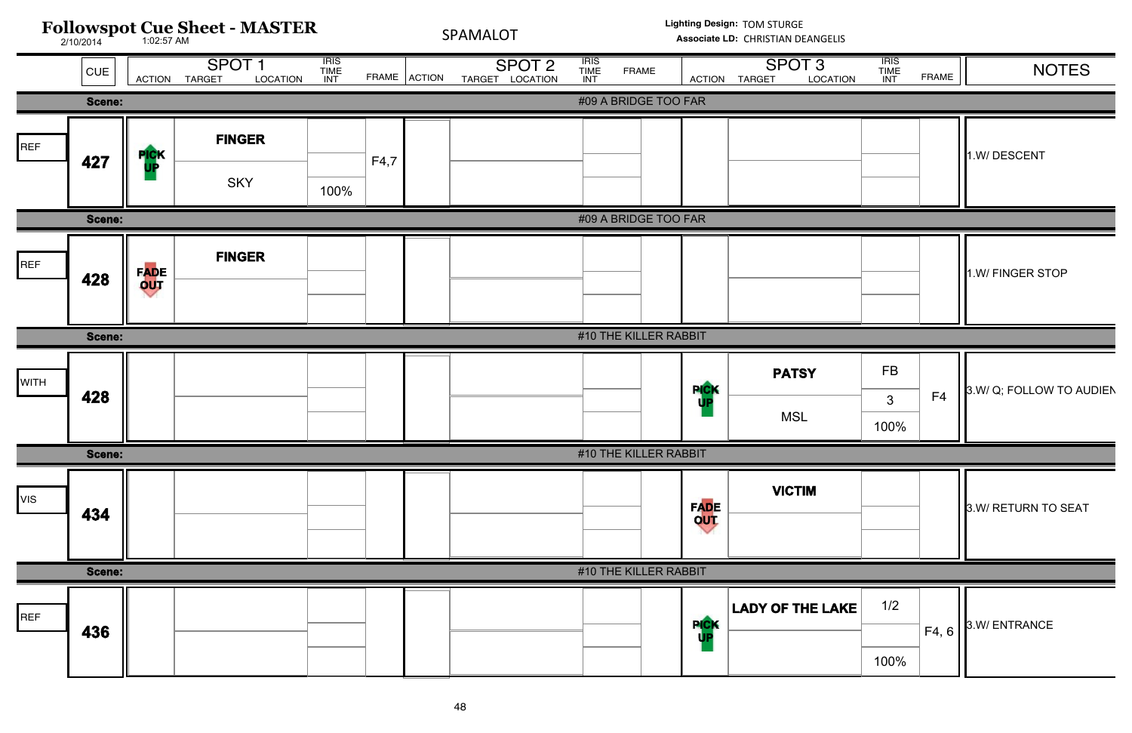![](_page_47_Figure_0.jpeg)

| <b>TION</b> | <b>IRIS</b><br>TIME<br>INT | <b>FRAME</b> | <b>NOTES</b>             |
|-------------|----------------------------|--------------|--------------------------|
|             |                            |              |                          |
|             |                            |              | 1.W/DESCENT              |
|             |                            |              |                          |
|             |                            |              | 1.W/ FINGER STOP         |
|             |                            |              |                          |
|             | <b>FB</b><br>3<br>100%     | F4           | 3.W/ Q; FOLLOW TO AUDIEN |
|             |                            |              |                          |
|             |                            |              | 3.W/ RETURN TO SEAT      |
|             |                            |              |                          |
| <b>AKE</b>  | 1/2                        | F4, 6        | 3.W/ENTRANCE             |
|             | 100%                       |              |                          |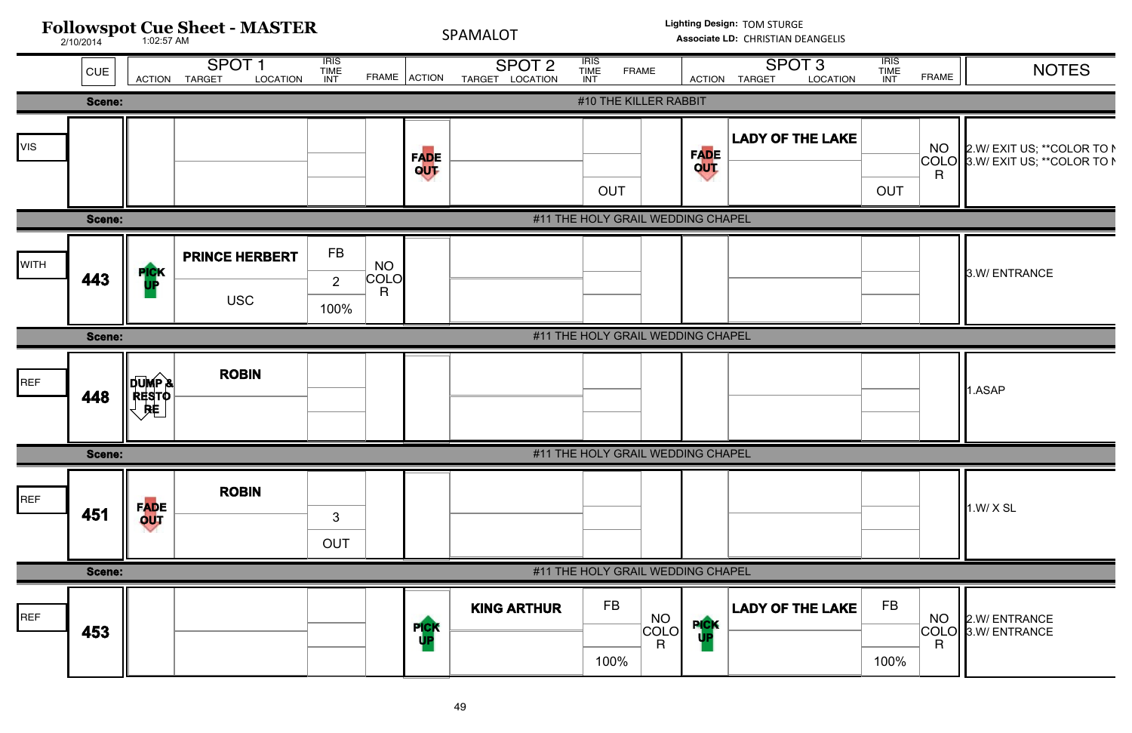![](_page_48_Figure_0.jpeg)

| <b>ATION</b> | <b>IRIS</b><br><b>TIME</b><br>INT | <b>FRAME</b>                      | <b>NOTES</b>                                               |
|--------------|-----------------------------------|-----------------------------------|------------------------------------------------------------|
|              |                                   |                                   |                                                            |
| AKE          | <b>OUT</b>                        | <b>NO</b><br>COLO<br>$\mathsf{R}$ | 2.W/ EXIT US; ** COLOR TO N<br>3.W/ EXIT US; ** COLOR TO N |
|              |                                   |                                   |                                                            |
|              |                                   |                                   | 3.W/ ENTRANCE                                              |
|              |                                   |                                   |                                                            |
|              |                                   |                                   | 1.ASAP                                                     |
|              |                                   |                                   |                                                            |
|              |                                   |                                   | 1.W/X SL                                                   |
|              |                                   |                                   |                                                            |
| AKE          | <b>FB</b>                         | <b>NO</b><br>COLO                 | 2.W/ ENTRANCE<br>3.W/ ENTRANCE                             |
|              | 100%                              | $\overline{\mathsf{R}}$           |                                                            |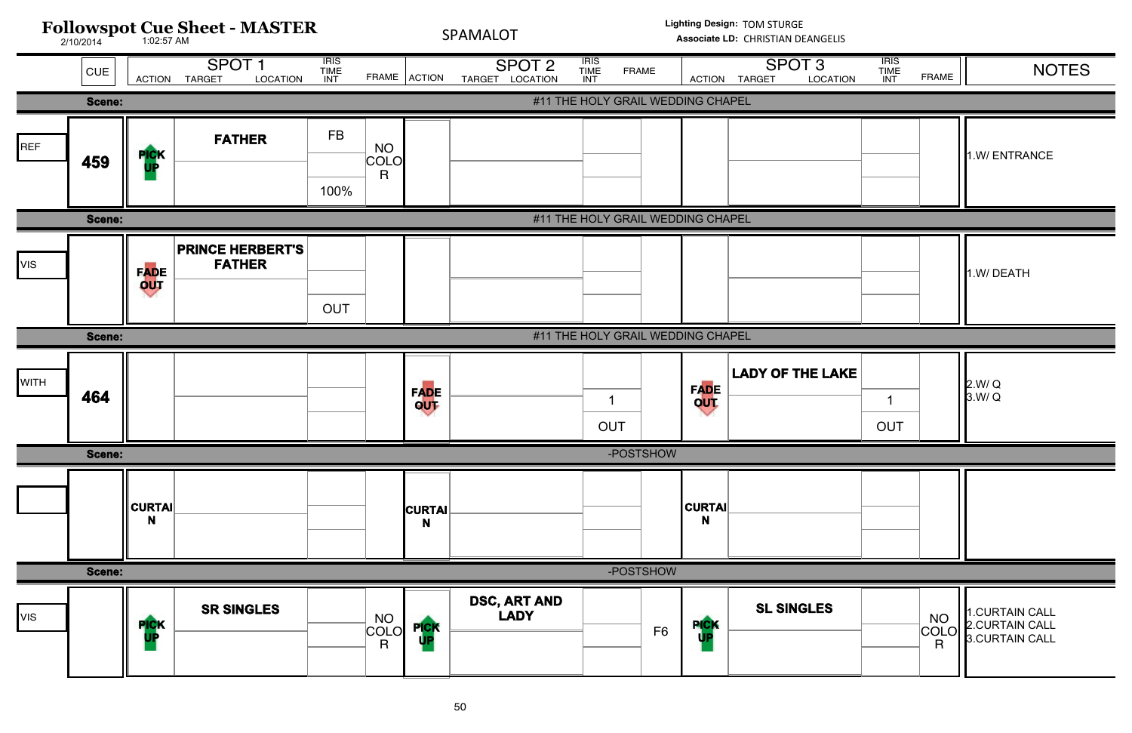![](_page_49_Figure_0.jpeg)

| <b>TION</b> | <b>IRIS</b><br><b>TIME</b><br>INT | <b>FRAME</b>                                                          | <b>NOTES</b>                                       |
|-------------|-----------------------------------|-----------------------------------------------------------------------|----------------------------------------------------|
|             |                                   |                                                                       |                                                    |
|             |                                   |                                                                       | 1.W/ENTRANCE                                       |
|             |                                   |                                                                       |                                                    |
|             |                                   |                                                                       | 1.W/DEATH                                          |
|             |                                   |                                                                       |                                                    |
| AKE         | 1<br><b>OUT</b>                   |                                                                       | 2.W/Q<br>3.W/Q                                     |
|             |                                   |                                                                       |                                                    |
|             |                                   |                                                                       |                                                    |
|             |                                   |                                                                       |                                                    |
|             |                                   | $\begin{array}{c}\n\text{NO} \\ \text{COLO} \\ \text{R}\n\end{array}$ | 1.CURTAIN CALL<br>2.CURTAIN CALL<br>3.CURTAIN CALL |